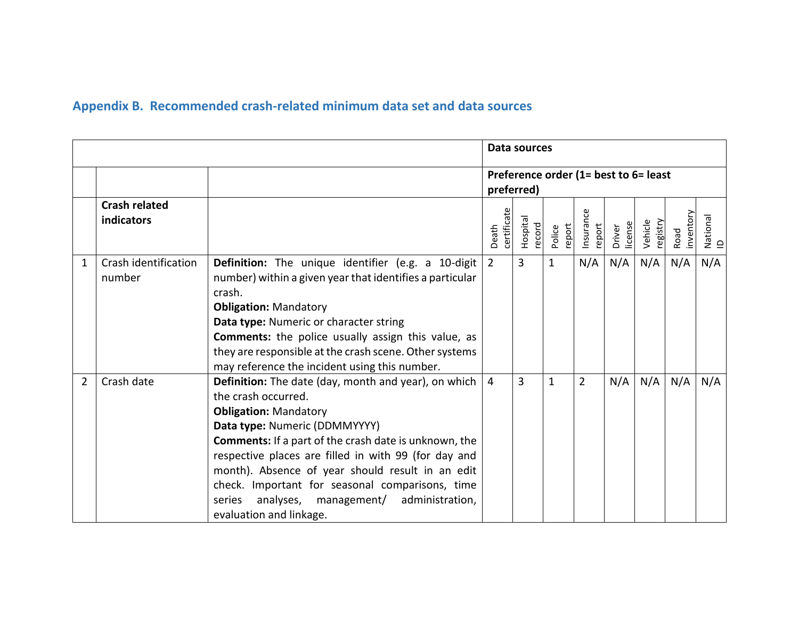## **Appendix B. Recommended crash-related minimum data set and data sources**

|                |                                    |                                                                                                                                                                                                                                                                                                                                                                                                                                                                 |                      | Data sources       |                                       |                     |                   |                     |                   |                |
|----------------|------------------------------------|-----------------------------------------------------------------------------------------------------------------------------------------------------------------------------------------------------------------------------------------------------------------------------------------------------------------------------------------------------------------------------------------------------------------------------------------------------------------|----------------------|--------------------|---------------------------------------|---------------------|-------------------|---------------------|-------------------|----------------|
|                |                                    |                                                                                                                                                                                                                                                                                                                                                                                                                                                                 |                      | preferred)         | Preference order (1= best to 6= least |                     |                   |                     |                   |                |
|                | <b>Crash related</b><br>indicators |                                                                                                                                                                                                                                                                                                                                                                                                                                                                 | certificate<br>Death | Hospital<br>record | report<br>Police                      | Insurance<br>report | license<br>Driver | Vehicle<br>registry | inventory<br>Road | National<br>ID |
| 1              | Crash identification<br>number     | Definition: The unique identifier (e.g. a 10-digit<br>number) within a given year that identifies a particular<br>crash.<br><b>Obligation: Mandatory</b><br>Data type: Numeric or character string<br><b>Comments:</b> the police usually assign this value, as<br>they are responsible at the crash scene. Other systems<br>may reference the incident using this number.                                                                                      | $\overline{2}$       | 3                  | $\mathbf{1}$                          | N/A                 | N/A               | N/A                 | N/A               | N/A            |
| $\overline{2}$ | Crash date                         | Definition: The date (day, month and year), on which<br>the crash occurred.<br><b>Obligation: Mandatory</b><br>Data type: Numeric (DDMMYYYY)<br><b>Comments:</b> If a part of the crash date is unknown, the<br>respective places are filled in with 99 (for day and<br>month). Absence of year should result in an edit<br>check. Important for seasonal comparisons, time<br>analyses,<br>management/<br>administration,<br>series<br>evaluation and linkage. | $\overline{4}$       | 3                  | $\mathbf{1}$                          | $\overline{2}$      | N/A               | N/A                 | N/A               | N/A            |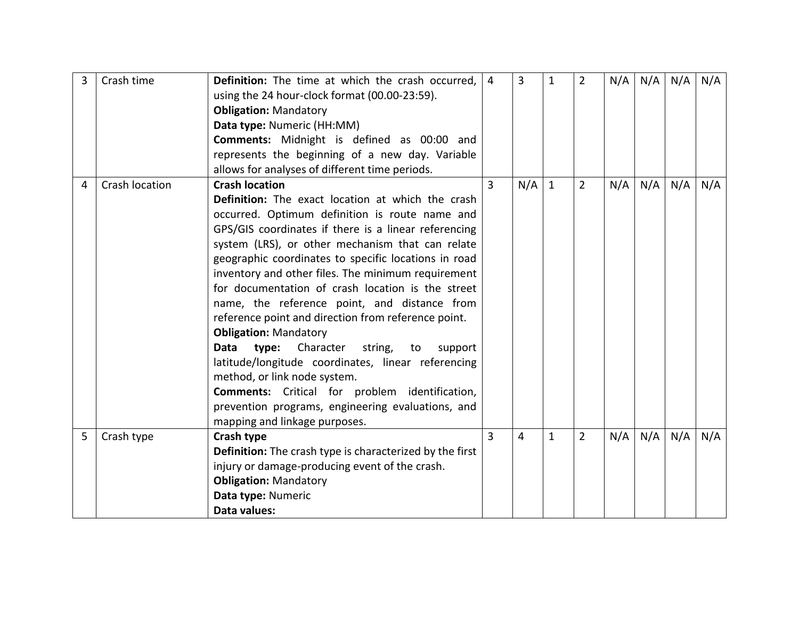| 3 | Crash time     | <b>Definition:</b> The time at which the crash occurred,<br>using the 24 hour-clock format (00.00-23:59).<br><b>Obligation: Mandatory</b><br>Data type: Numeric (HH:MM)<br>Comments: Midnight is defined as 00:00 and<br>represents the beginning of a new day. Variable<br>allows for analyses of different time periods.                                                                                                                                                                                                                                                                                                                                                                                                                                                                                                                               | 4              | $\overline{3}$ | $\mathbf{1}$ | $\overline{2}$ | N/A | N/A | N/A | N/A |
|---|----------------|----------------------------------------------------------------------------------------------------------------------------------------------------------------------------------------------------------------------------------------------------------------------------------------------------------------------------------------------------------------------------------------------------------------------------------------------------------------------------------------------------------------------------------------------------------------------------------------------------------------------------------------------------------------------------------------------------------------------------------------------------------------------------------------------------------------------------------------------------------|----------------|----------------|--------------|----------------|-----|-----|-----|-----|
| 4 | Crash location | <b>Crash location</b><br><b>Definition:</b> The exact location at which the crash<br>occurred. Optimum definition is route name and<br>GPS/GIS coordinates if there is a linear referencing<br>system (LRS), or other mechanism that can relate<br>geographic coordinates to specific locations in road<br>inventory and other files. The minimum requirement<br>for documentation of crash location is the street<br>name, the reference point, and distance from<br>reference point and direction from reference point.<br><b>Obligation: Mandatory</b><br>Character<br>Data<br>type:<br>string,<br>to<br>support<br>latitude/longitude coordinates, linear referencing<br>method, or link node system.<br><b>Comments:</b> Critical for problem identification,<br>prevention programs, engineering evaluations, and<br>mapping and linkage purposes. | $\overline{3}$ | N/A            | $\mathbf{1}$ | $\overline{2}$ | N/A | N/A | N/A | N/A |
| 5 | Crash type     | Crash type<br>Definition: The crash type is characterized by the first<br>injury or damage-producing event of the crash.<br><b>Obligation: Mandatory</b><br>Data type: Numeric<br>Data values:                                                                                                                                                                                                                                                                                                                                                                                                                                                                                                                                                                                                                                                           | $\overline{3}$ | $\overline{4}$ | $\mathbf{1}$ | $\overline{2}$ | N/A | N/A | N/A | N/A |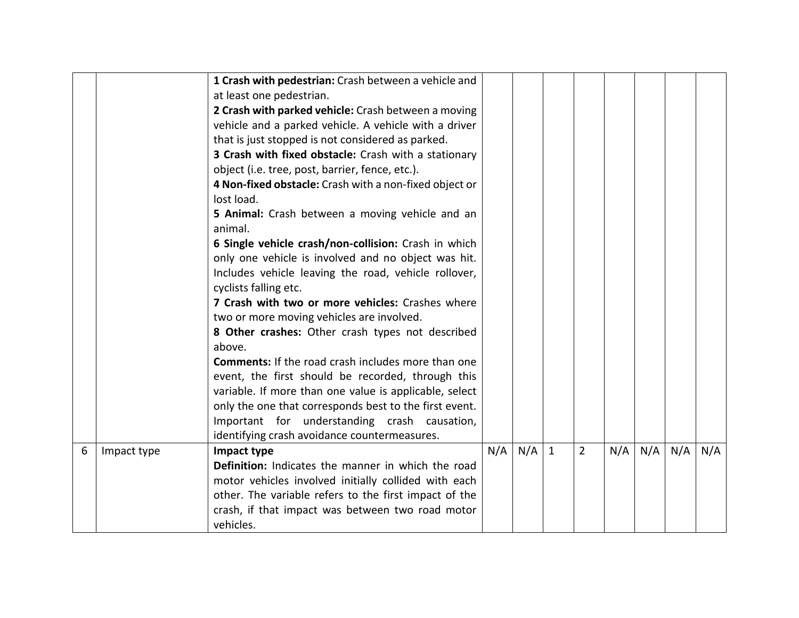|   |             | 1 Crash with pedestrian: Crash between a vehicle and                                                          |     |     |   |                |     |     |     |     |
|---|-------------|---------------------------------------------------------------------------------------------------------------|-----|-----|---|----------------|-----|-----|-----|-----|
|   |             | at least one pedestrian.                                                                                      |     |     |   |                |     |     |     |     |
|   |             | 2 Crash with parked vehicle: Crash between a moving                                                           |     |     |   |                |     |     |     |     |
|   |             | vehicle and a parked vehicle. A vehicle with a driver                                                         |     |     |   |                |     |     |     |     |
|   |             | that is just stopped is not considered as parked.                                                             |     |     |   |                |     |     |     |     |
|   |             | 3 Crash with fixed obstacle: Crash with a stationary                                                          |     |     |   |                |     |     |     |     |
|   |             | object (i.e. tree, post, barrier, fence, etc.).                                                               |     |     |   |                |     |     |     |     |
|   |             | 4 Non-fixed obstacle: Crash with a non-fixed object or                                                        |     |     |   |                |     |     |     |     |
|   |             | lost load.                                                                                                    |     |     |   |                |     |     |     |     |
|   |             | 5 Animal: Crash between a moving vehicle and an                                                               |     |     |   |                |     |     |     |     |
|   |             | animal.                                                                                                       |     |     |   |                |     |     |     |     |
|   |             | 6 Single vehicle crash/non-collision: Crash in which                                                          |     |     |   |                |     |     |     |     |
|   |             | only one vehicle is involved and no object was hit.                                                           |     |     |   |                |     |     |     |     |
|   |             | Includes vehicle leaving the road, vehicle rollover,                                                          |     |     |   |                |     |     |     |     |
|   |             | cyclists falling etc.                                                                                         |     |     |   |                |     |     |     |     |
|   |             | 7 Crash with two or more vehicles: Crashes where                                                              |     |     |   |                |     |     |     |     |
|   |             | two or more moving vehicles are involved.                                                                     |     |     |   |                |     |     |     |     |
|   |             | 8 Other crashes: Other crash types not described                                                              |     |     |   |                |     |     |     |     |
|   |             | above.                                                                                                        |     |     |   |                |     |     |     |     |
|   |             | <b>Comments:</b> If the road crash includes more than one                                                     |     |     |   |                |     |     |     |     |
|   |             | event, the first should be recorded, through this                                                             |     |     |   |                |     |     |     |     |
|   |             | variable. If more than one value is applicable, select                                                        |     |     |   |                |     |     |     |     |
|   |             | only the one that corresponds best to the first event.                                                        |     |     |   |                |     |     |     |     |
|   |             | Important for understanding crash causation,                                                                  |     |     |   |                |     |     |     |     |
| 6 |             | identifying crash avoidance countermeasures.                                                                  | N/A | N/A |   | $\overline{2}$ |     |     |     |     |
|   | Impact type | Impact type<br><b>Definition:</b> Indicates the manner in which the road                                      |     |     | 1 |                | N/A | N/A | N/A | N/A |
|   |             |                                                                                                               |     |     |   |                |     |     |     |     |
|   |             | motor vehicles involved initially collided with each<br>other. The variable refers to the first impact of the |     |     |   |                |     |     |     |     |
|   |             |                                                                                                               |     |     |   |                |     |     |     |     |
|   |             | crash, if that impact was between two road motor<br>vehicles.                                                 |     |     |   |                |     |     |     |     |
|   |             |                                                                                                               |     |     |   |                |     |     |     |     |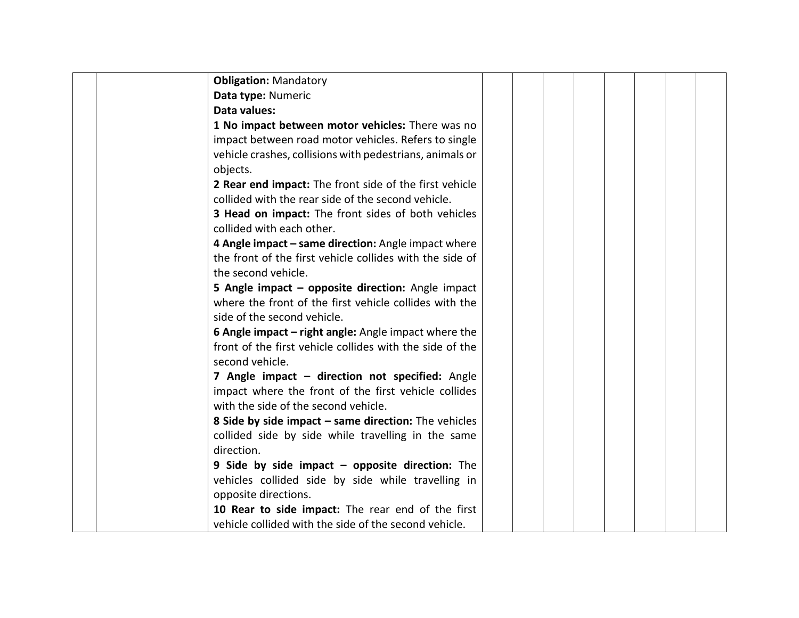|  | <b>Obligation: Mandatory</b>                             |  |  |  |  |
|--|----------------------------------------------------------|--|--|--|--|
|  | Data type: Numeric                                       |  |  |  |  |
|  | Data values:                                             |  |  |  |  |
|  | 1 No impact between motor vehicles: There was no         |  |  |  |  |
|  | impact between road motor vehicles. Refers to single     |  |  |  |  |
|  | vehicle crashes, collisions with pedestrians, animals or |  |  |  |  |
|  | objects.                                                 |  |  |  |  |
|  | 2 Rear end impact: The front side of the first vehicle   |  |  |  |  |
|  | collided with the rear side of the second vehicle.       |  |  |  |  |
|  | 3 Head on impact: The front sides of both vehicles       |  |  |  |  |
|  | collided with each other.                                |  |  |  |  |
|  | 4 Angle impact - same direction: Angle impact where      |  |  |  |  |
|  | the front of the first vehicle collides with the side of |  |  |  |  |
|  | the second vehicle.                                      |  |  |  |  |
|  | 5 Angle impact - opposite direction: Angle impact        |  |  |  |  |
|  | where the front of the first vehicle collides with the   |  |  |  |  |
|  | side of the second vehicle.                              |  |  |  |  |
|  | 6 Angle impact – right angle: Angle impact where the     |  |  |  |  |
|  | front of the first vehicle collides with the side of the |  |  |  |  |
|  | second vehicle.                                          |  |  |  |  |
|  | 7 Angle impact - direction not specified: Angle          |  |  |  |  |
|  | impact where the front of the first vehicle collides     |  |  |  |  |
|  | with the side of the second vehicle.                     |  |  |  |  |
|  | 8 Side by side impact – same direction: The vehicles     |  |  |  |  |
|  | collided side by side while travelling in the same       |  |  |  |  |
|  | direction.                                               |  |  |  |  |
|  | 9 Side by side impact - opposite direction: The          |  |  |  |  |
|  | vehicles collided side by side while travelling in       |  |  |  |  |
|  | opposite directions.                                     |  |  |  |  |
|  | 10 Rear to side impact: The rear end of the first        |  |  |  |  |
|  | vehicle collided with the side of the second vehicle.    |  |  |  |  |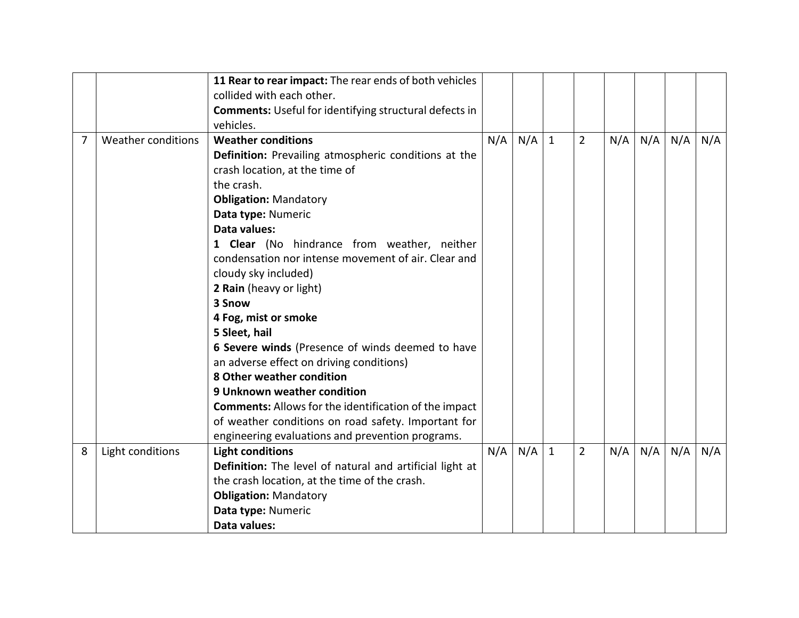|   |                    | 11 Rear to rear impact: The rear ends of both vehicles<br>collided with each other.<br><b>Comments:</b> Useful for identifying structural defects in |     |     |              |                |     |     |     |     |
|---|--------------------|------------------------------------------------------------------------------------------------------------------------------------------------------|-----|-----|--------------|----------------|-----|-----|-----|-----|
|   |                    | vehicles.                                                                                                                                            |     |     |              |                |     |     |     |     |
| 7 | Weather conditions | <b>Weather conditions</b>                                                                                                                            | N/A | N/A | $\mathbf{1}$ | $\overline{2}$ | N/A | N/A | N/A | N/A |
|   |                    | Definition: Prevailing atmospheric conditions at the                                                                                                 |     |     |              |                |     |     |     |     |
|   |                    | crash location, at the time of                                                                                                                       |     |     |              |                |     |     |     |     |
|   |                    | the crash.                                                                                                                                           |     |     |              |                |     |     |     |     |
|   |                    | <b>Obligation: Mandatory</b>                                                                                                                         |     |     |              |                |     |     |     |     |
|   |                    | Data type: Numeric                                                                                                                                   |     |     |              |                |     |     |     |     |
|   |                    | Data values:                                                                                                                                         |     |     |              |                |     |     |     |     |
|   |                    | 1 Clear (No hindrance from weather, neither                                                                                                          |     |     |              |                |     |     |     |     |
|   |                    | condensation nor intense movement of air. Clear and                                                                                                  |     |     |              |                |     |     |     |     |
|   |                    | cloudy sky included)                                                                                                                                 |     |     |              |                |     |     |     |     |
|   |                    | 2 Rain (heavy or light)                                                                                                                              |     |     |              |                |     |     |     |     |
|   |                    | 3 Snow                                                                                                                                               |     |     |              |                |     |     |     |     |
|   |                    | 4 Fog, mist or smoke                                                                                                                                 |     |     |              |                |     |     |     |     |
|   |                    | 5 Sleet, hail                                                                                                                                        |     |     |              |                |     |     |     |     |
|   |                    | 6 Severe winds (Presence of winds deemed to have                                                                                                     |     |     |              |                |     |     |     |     |
|   |                    | an adverse effect on driving conditions)                                                                                                             |     |     |              |                |     |     |     |     |
|   |                    | 8 Other weather condition                                                                                                                            |     |     |              |                |     |     |     |     |
|   |                    | 9 Unknown weather condition                                                                                                                          |     |     |              |                |     |     |     |     |
|   |                    | <b>Comments:</b> Allows for the identification of the impact                                                                                         |     |     |              |                |     |     |     |     |
|   |                    | of weather conditions on road safety. Important for                                                                                                  |     |     |              |                |     |     |     |     |
|   |                    | engineering evaluations and prevention programs.                                                                                                     |     |     |              |                |     |     |     |     |
| 8 | Light conditions   | <b>Light conditions</b>                                                                                                                              | N/A | N/A | $\mathbf{1}$ | $\overline{2}$ | N/A | N/A | N/A | N/A |
|   |                    | Definition: The level of natural and artificial light at                                                                                             |     |     |              |                |     |     |     |     |
|   |                    | the crash location, at the time of the crash.                                                                                                        |     |     |              |                |     |     |     |     |
|   |                    | <b>Obligation: Mandatory</b>                                                                                                                         |     |     |              |                |     |     |     |     |
|   |                    | Data type: Numeric                                                                                                                                   |     |     |              |                |     |     |     |     |
|   |                    | Data values:                                                                                                                                         |     |     |              |                |     |     |     |     |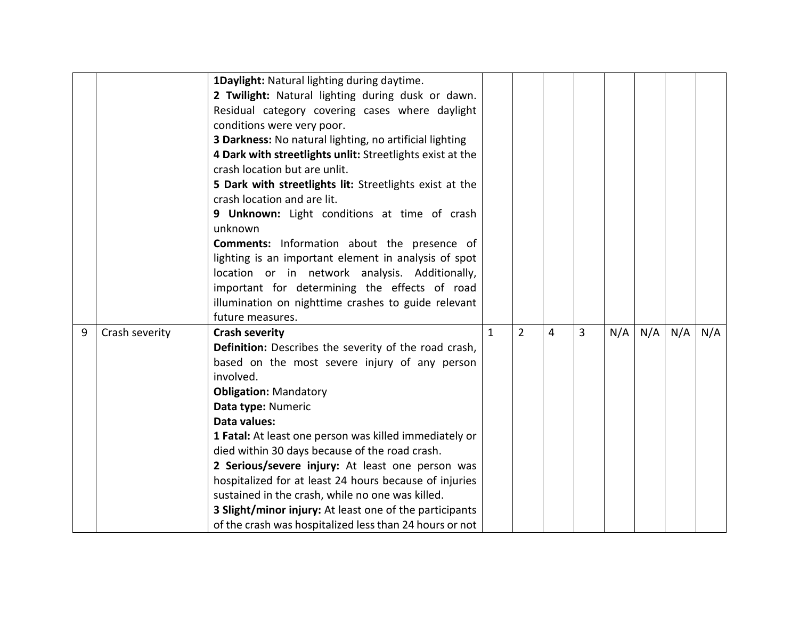|   |                | 1Daylight: Natural lighting during daytime.<br>2 Twilight: Natural lighting during dusk or dawn.<br>Residual category covering cases where daylight<br>conditions were very poor.<br>3 Darkness: No natural lighting, no artificial lighting<br>4 Dark with streetlights unlit: Streetlights exist at the<br>crash location but are unlit.<br>5 Dark with streetlights lit: Streetlights exist at the<br>crash location and are lit.<br>9 Unknown: Light conditions at time of crash<br>unknown<br><b>Comments:</b> Information about the presence of<br>lighting is an important element in analysis of spot<br>location or in network analysis. Additionally, |              |             |   |   |     |     |     |     |
|---|----------------|-----------------------------------------------------------------------------------------------------------------------------------------------------------------------------------------------------------------------------------------------------------------------------------------------------------------------------------------------------------------------------------------------------------------------------------------------------------------------------------------------------------------------------------------------------------------------------------------------------------------------------------------------------------------|--------------|-------------|---|---|-----|-----|-----|-----|
|   |                | important for determining the effects of road                                                                                                                                                                                                                                                                                                                                                                                                                                                                                                                                                                                                                   |              |             |   |   |     |     |     |     |
|   |                | illumination on nighttime crashes to guide relevant<br>future measures.                                                                                                                                                                                                                                                                                                                                                                                                                                                                                                                                                                                         |              |             |   |   |     |     |     |     |
| 9 | Crash severity | <b>Crash severity</b>                                                                                                                                                                                                                                                                                                                                                                                                                                                                                                                                                                                                                                           | $\mathbf{1}$ | $2^{\circ}$ | 4 | 3 | N/A | N/A | N/A | N/A |
|   |                | Definition: Describes the severity of the road crash,                                                                                                                                                                                                                                                                                                                                                                                                                                                                                                                                                                                                           |              |             |   |   |     |     |     |     |
|   |                | based on the most severe injury of any person<br>involved.                                                                                                                                                                                                                                                                                                                                                                                                                                                                                                                                                                                                      |              |             |   |   |     |     |     |     |
|   |                | <b>Obligation: Mandatory</b>                                                                                                                                                                                                                                                                                                                                                                                                                                                                                                                                                                                                                                    |              |             |   |   |     |     |     |     |
|   |                | Data type: Numeric                                                                                                                                                                                                                                                                                                                                                                                                                                                                                                                                                                                                                                              |              |             |   |   |     |     |     |     |
|   |                | Data values:                                                                                                                                                                                                                                                                                                                                                                                                                                                                                                                                                                                                                                                    |              |             |   |   |     |     |     |     |
|   |                | 1 Fatal: At least one person was killed immediately or                                                                                                                                                                                                                                                                                                                                                                                                                                                                                                                                                                                                          |              |             |   |   |     |     |     |     |
|   |                | died within 30 days because of the road crash.                                                                                                                                                                                                                                                                                                                                                                                                                                                                                                                                                                                                                  |              |             |   |   |     |     |     |     |
|   |                | 2 Serious/severe injury: At least one person was                                                                                                                                                                                                                                                                                                                                                                                                                                                                                                                                                                                                                |              |             |   |   |     |     |     |     |
|   |                | hospitalized for at least 24 hours because of injuries                                                                                                                                                                                                                                                                                                                                                                                                                                                                                                                                                                                                          |              |             |   |   |     |     |     |     |
|   |                | sustained in the crash, while no one was killed.                                                                                                                                                                                                                                                                                                                                                                                                                                                                                                                                                                                                                |              |             |   |   |     |     |     |     |
|   |                | 3 Slight/minor injury: At least one of the participants                                                                                                                                                                                                                                                                                                                                                                                                                                                                                                                                                                                                         |              |             |   |   |     |     |     |     |
|   |                | of the crash was hospitalized less than 24 hours or not                                                                                                                                                                                                                                                                                                                                                                                                                                                                                                                                                                                                         |              |             |   |   |     |     |     |     |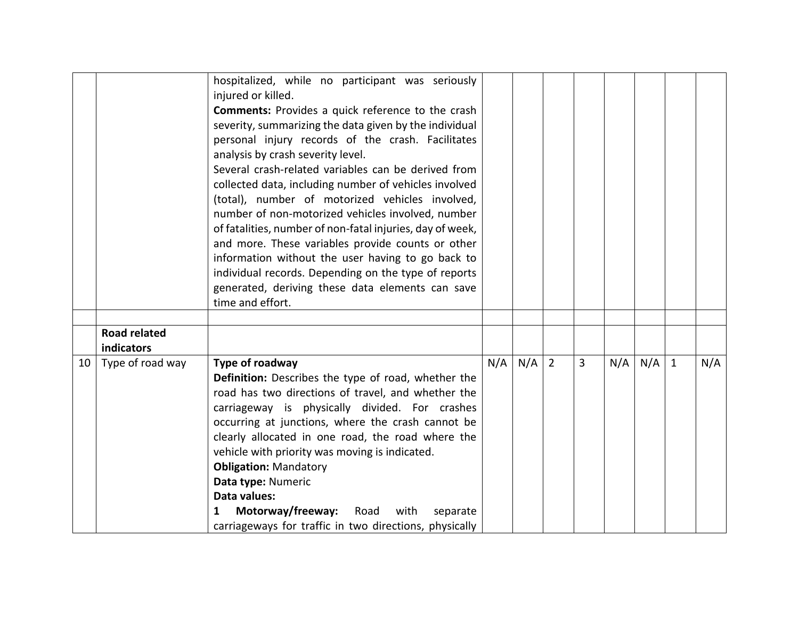|    |                                   | hospitalized, while no participant was seriously<br>injured or killed.<br><b>Comments:</b> Provides a quick reference to the crash<br>severity, summarizing the data given by the individual<br>personal injury records of the crash. Facilitates<br>analysis by crash severity level.<br>Several crash-related variables can be derived from<br>collected data, including number of vehicles involved<br>(total), number of motorized vehicles involved,<br>number of non-motorized vehicles involved, number<br>of fatalities, number of non-fatal injuries, day of week,<br>and more. These variables provide counts or other<br>information without the user having to go back to |     |     |                |   |     |     |              |     |
|----|-----------------------------------|---------------------------------------------------------------------------------------------------------------------------------------------------------------------------------------------------------------------------------------------------------------------------------------------------------------------------------------------------------------------------------------------------------------------------------------------------------------------------------------------------------------------------------------------------------------------------------------------------------------------------------------------------------------------------------------|-----|-----|----------------|---|-----|-----|--------------|-----|
|    |                                   | individual records. Depending on the type of reports<br>generated, deriving these data elements can save                                                                                                                                                                                                                                                                                                                                                                                                                                                                                                                                                                              |     |     |                |   |     |     |              |     |
|    |                                   | time and effort.                                                                                                                                                                                                                                                                                                                                                                                                                                                                                                                                                                                                                                                                      |     |     |                |   |     |     |              |     |
|    | <b>Road related</b><br>indicators |                                                                                                                                                                                                                                                                                                                                                                                                                                                                                                                                                                                                                                                                                       |     |     |                |   |     |     |              |     |
| 10 | Type of road way                  | Type of roadway<br>Definition: Describes the type of road, whether the<br>road has two directions of travel, and whether the<br>carriageway is physically divided. For crashes<br>occurring at junctions, where the crash cannot be<br>clearly allocated in one road, the road where the<br>vehicle with priority was moving is indicated.<br><b>Obligation: Mandatory</b><br>Data type: Numeric<br>Data values:<br>Motorway/freeway:<br>Road<br>with<br>separate<br>1<br>carriageways for traffic in two directions, physically                                                                                                                                                      | N/A | N/A | $\overline{2}$ | 3 | N/A | N/A | $\mathbf{1}$ | N/A |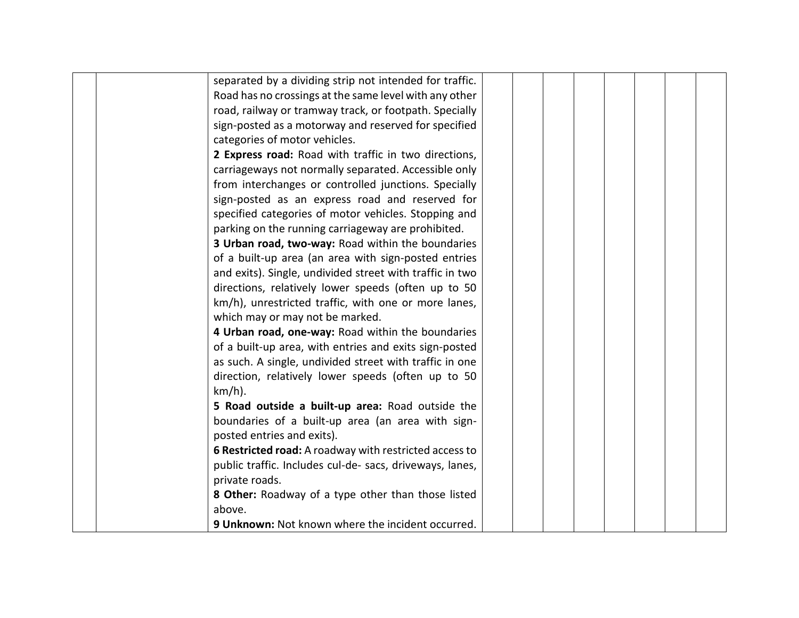|  | separated by a dividing strip not intended for traffic.  |  |  |  |  |
|--|----------------------------------------------------------|--|--|--|--|
|  | Road has no crossings at the same level with any other   |  |  |  |  |
|  | road, railway or tramway track, or footpath. Specially   |  |  |  |  |
|  | sign-posted as a motorway and reserved for specified     |  |  |  |  |
|  | categories of motor vehicles.                            |  |  |  |  |
|  | 2 Express road: Road with traffic in two directions,     |  |  |  |  |
|  | carriageways not normally separated. Accessible only     |  |  |  |  |
|  | from interchanges or controlled junctions. Specially     |  |  |  |  |
|  | sign-posted as an express road and reserved for          |  |  |  |  |
|  | specified categories of motor vehicles. Stopping and     |  |  |  |  |
|  | parking on the running carriageway are prohibited.       |  |  |  |  |
|  | 3 Urban road, two-way: Road within the boundaries        |  |  |  |  |
|  | of a built-up area (an area with sign-posted entries     |  |  |  |  |
|  | and exits). Single, undivided street with traffic in two |  |  |  |  |
|  | directions, relatively lower speeds (often up to 50      |  |  |  |  |
|  | km/h), unrestricted traffic, with one or more lanes,     |  |  |  |  |
|  | which may or may not be marked.                          |  |  |  |  |
|  | 4 Urban road, one-way: Road within the boundaries        |  |  |  |  |
|  | of a built-up area, with entries and exits sign-posted   |  |  |  |  |
|  | as such. A single, undivided street with traffic in one  |  |  |  |  |
|  | direction, relatively lower speeds (often up to 50       |  |  |  |  |
|  | $km/h$ ).                                                |  |  |  |  |
|  | 5 Road outside a built-up area: Road outside the         |  |  |  |  |
|  | boundaries of a built-up area (an area with sign-        |  |  |  |  |
|  | posted entries and exits).                               |  |  |  |  |
|  | 6 Restricted road: A roadway with restricted access to   |  |  |  |  |
|  | public traffic. Includes cul-de- sacs, driveways, lanes, |  |  |  |  |
|  | private roads.                                           |  |  |  |  |
|  | 8 Other: Roadway of a type other than those listed       |  |  |  |  |
|  | above.                                                   |  |  |  |  |
|  | 9 Unknown: Not known where the incident occurred.        |  |  |  |  |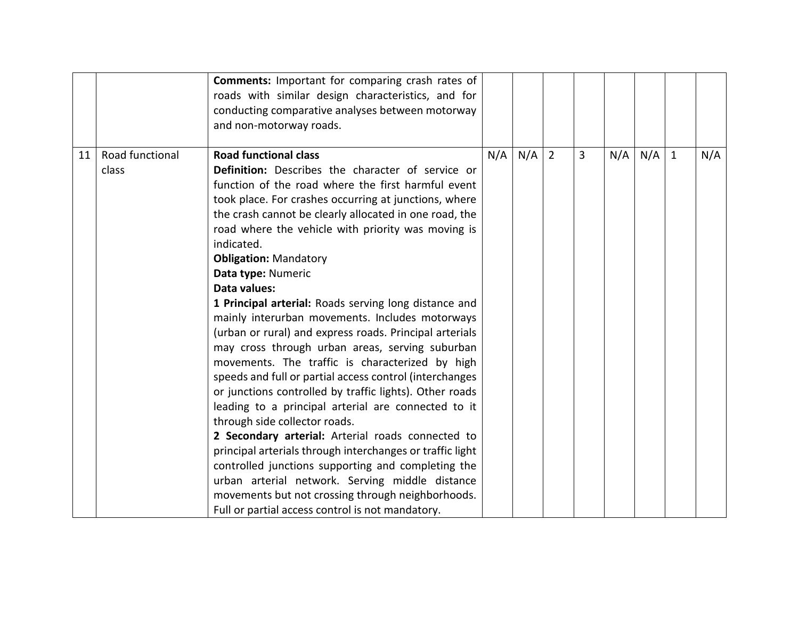|    |                          | <b>Comments:</b> Important for comparing crash rates of<br>roads with similar design characteristics, and for<br>conducting comparative analyses between motorway<br>and non-motorway roads.                                                                                                                                                                                                                                                                                                                                                                                                                                                                                                                                                                                                                                                                                                                                                                                                                                                                                                                                                                                                                                        |     |     |                |   |     |     |              |     |
|----|--------------------------|-------------------------------------------------------------------------------------------------------------------------------------------------------------------------------------------------------------------------------------------------------------------------------------------------------------------------------------------------------------------------------------------------------------------------------------------------------------------------------------------------------------------------------------------------------------------------------------------------------------------------------------------------------------------------------------------------------------------------------------------------------------------------------------------------------------------------------------------------------------------------------------------------------------------------------------------------------------------------------------------------------------------------------------------------------------------------------------------------------------------------------------------------------------------------------------------------------------------------------------|-----|-----|----------------|---|-----|-----|--------------|-----|
| 11 | Road functional<br>class | <b>Road functional class</b><br>Definition: Describes the character of service or<br>function of the road where the first harmful event<br>took place. For crashes occurring at junctions, where<br>the crash cannot be clearly allocated in one road, the<br>road where the vehicle with priority was moving is<br>indicated.<br><b>Obligation: Mandatory</b><br>Data type: Numeric<br>Data values:<br>1 Principal arterial: Roads serving long distance and<br>mainly interurban movements. Includes motorways<br>(urban or rural) and express roads. Principal arterials<br>may cross through urban areas, serving suburban<br>movements. The traffic is characterized by high<br>speeds and full or partial access control (interchanges<br>or junctions controlled by traffic lights). Other roads<br>leading to a principal arterial are connected to it<br>through side collector roads.<br>2 Secondary arterial: Arterial roads connected to<br>principal arterials through interchanges or traffic light<br>controlled junctions supporting and completing the<br>urban arterial network. Serving middle distance<br>movements but not crossing through neighborhoods.<br>Full or partial access control is not mandatory. | N/A | N/A | $\overline{2}$ | 3 | N/A | N/A | $\mathbf{1}$ | N/A |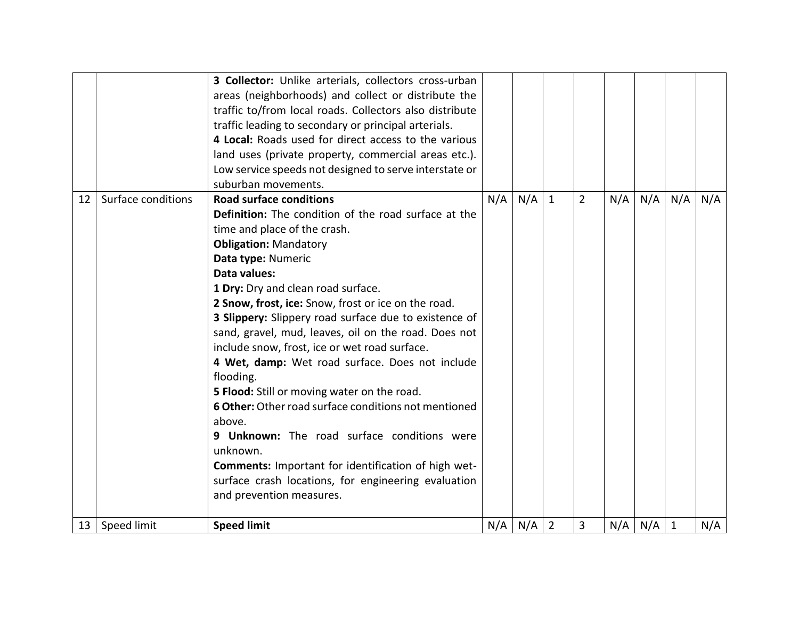|    |                    | 3 Collector: Unlike arterials, collectors cross-urban<br>areas (neighborhoods) and collect or distribute the<br>traffic to/from local roads. Collectors also distribute<br>traffic leading to secondary or principal arterials.<br>4 Local: Roads used for direct access to the various<br>land uses (private property, commercial areas etc.).<br>Low service speeds not designed to serve interstate or<br>suburban movements.                                                                                                                                                                                                                                                                                                                                                                                                                  |     |     |                 |                |     |     |              |     |
|----|--------------------|---------------------------------------------------------------------------------------------------------------------------------------------------------------------------------------------------------------------------------------------------------------------------------------------------------------------------------------------------------------------------------------------------------------------------------------------------------------------------------------------------------------------------------------------------------------------------------------------------------------------------------------------------------------------------------------------------------------------------------------------------------------------------------------------------------------------------------------------------|-----|-----|-----------------|----------------|-----|-----|--------------|-----|
| 12 | Surface conditions | <b>Road surface conditions</b><br>Definition: The condition of the road surface at the<br>time and place of the crash.<br><b>Obligation: Mandatory</b><br>Data type: Numeric<br>Data values:<br>1 Dry: Dry and clean road surface.<br>2 Snow, frost, ice: Snow, frost or ice on the road.<br>3 Slippery: Slippery road surface due to existence of<br>sand, gravel, mud, leaves, oil on the road. Does not<br>include snow, frost, ice or wet road surface.<br>4 Wet, damp: Wet road surface. Does not include<br>flooding.<br>5 Flood: Still or moving water on the road.<br>6 Other: Other road surface conditions not mentioned<br>above.<br>9 Unknown: The road surface conditions were<br>unknown.<br>Comments: Important for identification of high wet-<br>surface crash locations, for engineering evaluation<br>and prevention measures. | N/A | N/A | $\vert 1 \vert$ | $\overline{2}$ | N/A | N/A | N/A          | N/A |
|    | 13   Speed limit   | <b>Speed limit</b>                                                                                                                                                                                                                                                                                                                                                                                                                                                                                                                                                                                                                                                                                                                                                                                                                                | N/A | N/A | $\overline{2}$  | 3              | N/A | N/A | $\mathbf{1}$ | N/A |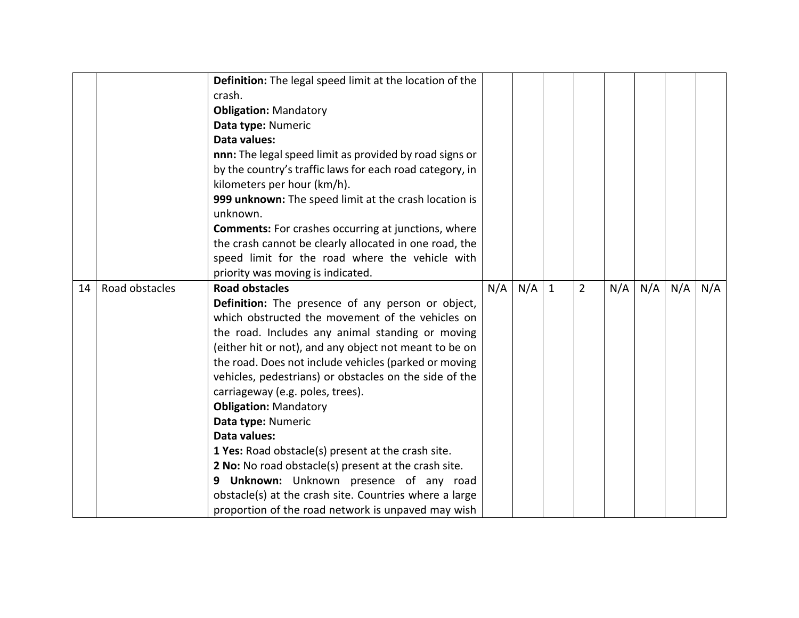|    |                | Definition: The legal speed limit at the location of the    |     |     |                |                |     |     |     |     |
|----|----------------|-------------------------------------------------------------|-----|-----|----------------|----------------|-----|-----|-----|-----|
|    |                | crash.                                                      |     |     |                |                |     |     |     |     |
|    |                | <b>Obligation: Mandatory</b>                                |     |     |                |                |     |     |     |     |
|    |                | Data type: Numeric                                          |     |     |                |                |     |     |     |     |
|    |                | Data values:                                                |     |     |                |                |     |     |     |     |
|    |                | nnn: The legal speed limit as provided by road signs or     |     |     |                |                |     |     |     |     |
|    |                | by the country's traffic laws for each road category, in    |     |     |                |                |     |     |     |     |
|    |                | kilometers per hour (km/h).                                 |     |     |                |                |     |     |     |     |
|    |                | 999 unknown: The speed limit at the crash location is       |     |     |                |                |     |     |     |     |
|    |                | unknown.                                                    |     |     |                |                |     |     |     |     |
|    |                | <b>Comments:</b> For crashes occurring at junctions, where  |     |     |                |                |     |     |     |     |
|    |                | the crash cannot be clearly allocated in one road, the      |     |     |                |                |     |     |     |     |
|    |                | speed limit for the road where the vehicle with             |     |     |                |                |     |     |     |     |
|    |                | priority was moving is indicated.                           |     |     |                |                |     |     |     |     |
| 14 | Road obstacles | <b>Road obstacles</b>                                       | N/A | N/A | $\overline{1}$ | $\overline{2}$ | N/A | N/A | N/A | N/A |
|    |                | Definition: The presence of any person or object,           |     |     |                |                |     |     |     |     |
|    |                | which obstructed the movement of the vehicles on            |     |     |                |                |     |     |     |     |
|    |                | the road. Includes any animal standing or moving            |     |     |                |                |     |     |     |     |
|    |                | (either hit or not), and any object not meant to be on      |     |     |                |                |     |     |     |     |
|    |                | the road. Does not include vehicles (parked or moving       |     |     |                |                |     |     |     |     |
|    |                | vehicles, pedestrians) or obstacles on the side of the      |     |     |                |                |     |     |     |     |
|    |                | carriageway (e.g. poles, trees).                            |     |     |                |                |     |     |     |     |
|    |                | <b>Obligation: Mandatory</b>                                |     |     |                |                |     |     |     |     |
|    |                | Data type: Numeric                                          |     |     |                |                |     |     |     |     |
|    |                | Data values:                                                |     |     |                |                |     |     |     |     |
|    |                | 1 Yes: Road obstacle(s) present at the crash site.          |     |     |                |                |     |     |     |     |
|    |                | <b>2 No:</b> No road obstacle(s) present at the crash site. |     |     |                |                |     |     |     |     |
|    |                | 9 Unknown: Unknown presence of any road                     |     |     |                |                |     |     |     |     |
|    |                | obstacle(s) at the crash site. Countries where a large      |     |     |                |                |     |     |     |     |
|    |                | proportion of the road network is unpaved may wish          |     |     |                |                |     |     |     |     |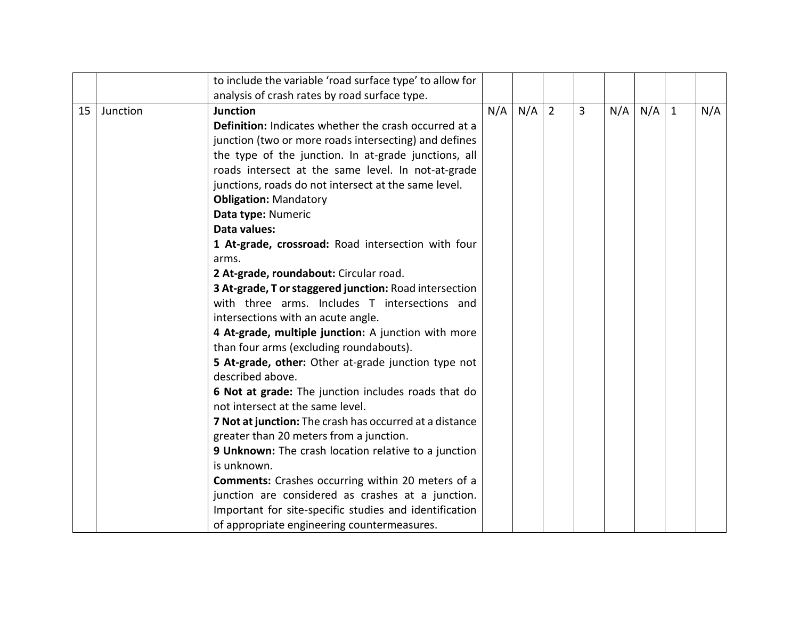|    |          | to include the variable 'road surface type' to allow for     |     |     |                |   |     |     |              |     |
|----|----------|--------------------------------------------------------------|-----|-----|----------------|---|-----|-----|--------------|-----|
|    |          | analysis of crash rates by road surface type.                |     |     |                |   |     |     |              |     |
| 15 | Junction | <b>Junction</b>                                              | N/A | N/A | $\overline{2}$ | 3 | N/A | N/A | $\mathbf{1}$ | N/A |
|    |          | <b>Definition:</b> Indicates whether the crash occurred at a |     |     |                |   |     |     |              |     |
|    |          | junction (two or more roads intersecting) and defines        |     |     |                |   |     |     |              |     |
|    |          | the type of the junction. In at-grade junctions, all         |     |     |                |   |     |     |              |     |
|    |          | roads intersect at the same level. In not-at-grade           |     |     |                |   |     |     |              |     |
|    |          | junctions, roads do not intersect at the same level.         |     |     |                |   |     |     |              |     |
|    |          | <b>Obligation: Mandatory</b>                                 |     |     |                |   |     |     |              |     |
|    |          | Data type: Numeric                                           |     |     |                |   |     |     |              |     |
|    |          | Data values:                                                 |     |     |                |   |     |     |              |     |
|    |          | 1 At-grade, crossroad: Road intersection with four           |     |     |                |   |     |     |              |     |
|    |          | arms.                                                        |     |     |                |   |     |     |              |     |
|    |          | 2 At-grade, roundabout: Circular road.                       |     |     |                |   |     |     |              |     |
|    |          | 3 At-grade, T or staggered junction: Road intersection       |     |     |                |   |     |     |              |     |
|    |          | with three arms. Includes T intersections and                |     |     |                |   |     |     |              |     |
|    |          | intersections with an acute angle.                           |     |     |                |   |     |     |              |     |
|    |          | 4 At-grade, multiple junction: A junction with more          |     |     |                |   |     |     |              |     |
|    |          | than four arms (excluding roundabouts).                      |     |     |                |   |     |     |              |     |
|    |          | 5 At-grade, other: Other at-grade junction type not          |     |     |                |   |     |     |              |     |
|    |          | described above.                                             |     |     |                |   |     |     |              |     |
|    |          | 6 Not at grade: The junction includes roads that do          |     |     |                |   |     |     |              |     |
|    |          | not intersect at the same level.                             |     |     |                |   |     |     |              |     |
|    |          | 7 Not at junction: The crash has occurred at a distance      |     |     |                |   |     |     |              |     |
|    |          | greater than 20 meters from a junction.                      |     |     |                |   |     |     |              |     |
|    |          | 9 Unknown: The crash location relative to a junction         |     |     |                |   |     |     |              |     |
|    |          | is unknown.                                                  |     |     |                |   |     |     |              |     |
|    |          | <b>Comments:</b> Crashes occurring within 20 meters of a     |     |     |                |   |     |     |              |     |
|    |          | junction are considered as crashes at a junction.            |     |     |                |   |     |     |              |     |
|    |          | Important for site-specific studies and identification       |     |     |                |   |     |     |              |     |
|    |          | of appropriate engineering countermeasures.                  |     |     |                |   |     |     |              |     |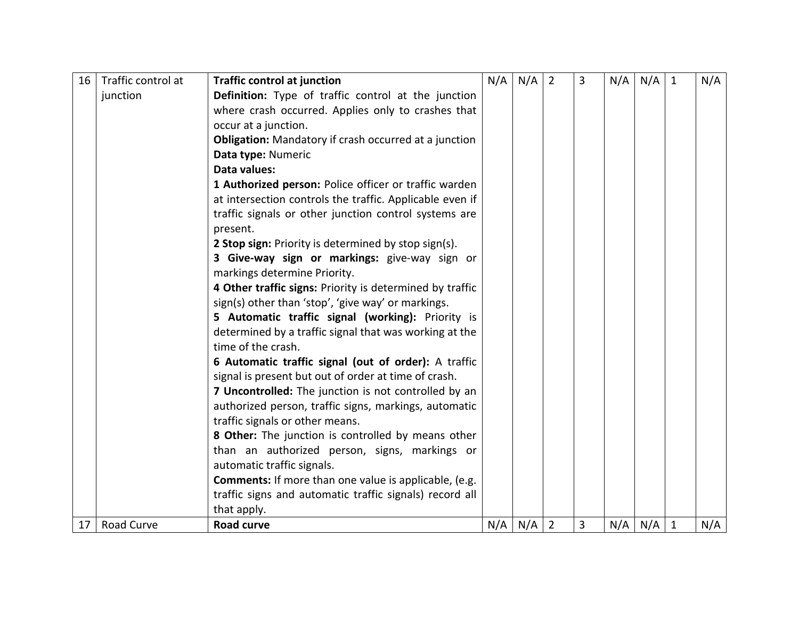| 16 | Traffic control at | <b>Traffic control at junction</b>                           | N/A | N/A | $\overline{2}$ | 3 | N/A | N/A | $\mathbf{1}$ | N/A |
|----|--------------------|--------------------------------------------------------------|-----|-----|----------------|---|-----|-----|--------------|-----|
|    | junction           | Definition: Type of traffic control at the junction          |     |     |                |   |     |     |              |     |
|    |                    | where crash occurred. Applies only to crashes that           |     |     |                |   |     |     |              |     |
|    |                    | occur at a junction.                                         |     |     |                |   |     |     |              |     |
|    |                    | <b>Obligation:</b> Mandatory if crash occurred at a junction |     |     |                |   |     |     |              |     |
|    |                    | Data type: Numeric                                           |     |     |                |   |     |     |              |     |
|    |                    | Data values:                                                 |     |     |                |   |     |     |              |     |
|    |                    | 1 Authorized person: Police officer or traffic warden        |     |     |                |   |     |     |              |     |
|    |                    | at intersection controls the traffic. Applicable even if     |     |     |                |   |     |     |              |     |
|    |                    | traffic signals or other junction control systems are        |     |     |                |   |     |     |              |     |
|    |                    | present.                                                     |     |     |                |   |     |     |              |     |
|    |                    | 2 Stop sign: Priority is determined by stop sign(s).         |     |     |                |   |     |     |              |     |
|    |                    | 3 Give-way sign or markings: give-way sign or                |     |     |                |   |     |     |              |     |
|    |                    | markings determine Priority.                                 |     |     |                |   |     |     |              |     |
|    |                    | 4 Other traffic signs: Priority is determined by traffic     |     |     |                |   |     |     |              |     |
|    |                    | sign(s) other than 'stop', 'give way' or markings.           |     |     |                |   |     |     |              |     |
|    |                    | 5 Automatic traffic signal (working): Priority is            |     |     |                |   |     |     |              |     |
|    |                    | determined by a traffic signal that was working at the       |     |     |                |   |     |     |              |     |
|    |                    | time of the crash.                                           |     |     |                |   |     |     |              |     |
|    |                    | 6 Automatic traffic signal (out of order): A traffic         |     |     |                |   |     |     |              |     |
|    |                    | signal is present but out of order at time of crash.         |     |     |                |   |     |     |              |     |
|    |                    | 7 Uncontrolled: The junction is not controlled by an         |     |     |                |   |     |     |              |     |
|    |                    | authorized person, traffic signs, markings, automatic        |     |     |                |   |     |     |              |     |
|    |                    | traffic signals or other means.                              |     |     |                |   |     |     |              |     |
|    |                    | 8 Other: The junction is controlled by means other           |     |     |                |   |     |     |              |     |
|    |                    | than an authorized person, signs, markings or                |     |     |                |   |     |     |              |     |
|    |                    | automatic traffic signals.                                   |     |     |                |   |     |     |              |     |
|    |                    | <b>Comments:</b> If more than one value is applicable, (e.g. |     |     |                |   |     |     |              |     |
|    |                    | traffic signs and automatic traffic signals) record all      |     |     |                |   |     |     |              |     |
|    |                    | that apply.                                                  |     |     |                |   |     |     |              |     |
| 17 | Road Curve         | <b>Road curve</b>                                            | N/A | N/A | $\overline{2}$ | 3 | N/A | N/A | $\mathbf{1}$ | N/A |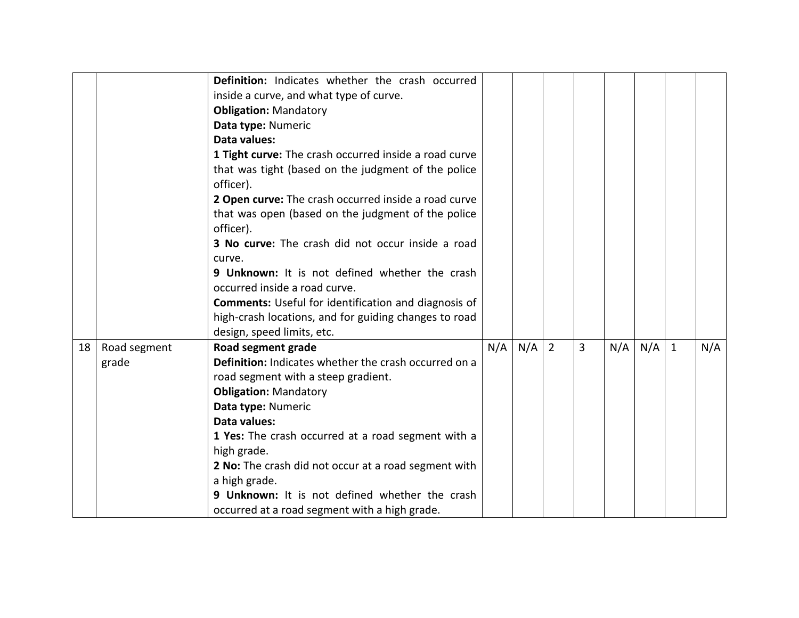|    |                       | Definition: Indicates whether the crash occurred<br>inside a curve, and what type of curve.<br><b>Obligation: Mandatory</b><br>Data type: Numeric<br>Data values:<br>1 Tight curve: The crash occurred inside a road curve<br>that was tight (based on the judgment of the police<br>officer).<br>2 Open curve: The crash occurred inside a road curve<br>that was open (based on the judgment of the police<br>officer).<br>3 No curve: The crash did not occur inside a road<br>curve.<br>9 Unknown: It is not defined whether the crash<br>occurred inside a road curve. |     |     |                |   |     |     |              |     |
|----|-----------------------|-----------------------------------------------------------------------------------------------------------------------------------------------------------------------------------------------------------------------------------------------------------------------------------------------------------------------------------------------------------------------------------------------------------------------------------------------------------------------------------------------------------------------------------------------------------------------------|-----|-----|----------------|---|-----|-----|--------------|-----|
|    |                       | <b>Comments:</b> Useful for identification and diagnosis of<br>high-crash locations, and for guiding changes to road                                                                                                                                                                                                                                                                                                                                                                                                                                                        |     |     |                |   |     |     |              |     |
|    |                       | design, speed limits, etc.                                                                                                                                                                                                                                                                                                                                                                                                                                                                                                                                                  |     |     |                |   |     |     |              |     |
| 18 | Road segment<br>grade | Road segment grade<br>Definition: Indicates whether the crash occurred on a<br>road segment with a steep gradient.<br><b>Obligation: Mandatory</b><br>Data type: Numeric<br>Data values:<br>1 Yes: The crash occurred at a road segment with a<br>high grade.<br>2 No: The crash did not occur at a road segment with<br>a high grade.<br>9 Unknown: It is not defined whether the crash<br>occurred at a road segment with a high grade.                                                                                                                                   | N/A | N/A | $\overline{2}$ | 3 | N/A | N/A | $\mathbf{1}$ | N/A |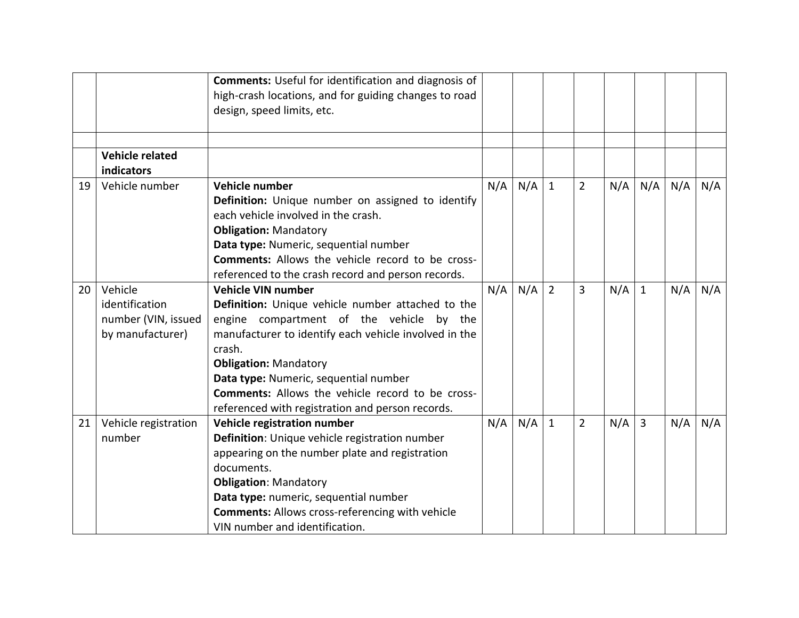|    |                                                                      | <b>Comments:</b> Useful for identification and diagnosis of<br>high-crash locations, and for guiding changes to road<br>design, speed limits, etc.                                                                                                                                                                                                                                    |     |     |                |                |     |              |     |     |
|----|----------------------------------------------------------------------|---------------------------------------------------------------------------------------------------------------------------------------------------------------------------------------------------------------------------------------------------------------------------------------------------------------------------------------------------------------------------------------|-----|-----|----------------|----------------|-----|--------------|-----|-----|
|    |                                                                      |                                                                                                                                                                                                                                                                                                                                                                                       |     |     |                |                |     |              |     |     |
|    | <b>Vehicle related</b><br>indicators                                 |                                                                                                                                                                                                                                                                                                                                                                                       |     |     |                |                |     |              |     |     |
| 19 | Vehicle number                                                       | Vehicle number<br>Definition: Unique number on assigned to identify<br>each vehicle involved in the crash.<br><b>Obligation: Mandatory</b><br>Data type: Numeric, sequential number<br>Comments: Allows the vehicle record to be cross-<br>referenced to the crash record and person records.                                                                                         | N/A | N/A | $\mathbf{1}$   | $\overline{2}$ | N/A | N/A          | N/A | N/A |
| 20 | Vehicle<br>identification<br>number (VIN, issued<br>by manufacturer) | <b>Vehicle VIN number</b><br>Definition: Unique vehicle number attached to the<br>engine compartment of the vehicle by the<br>manufacturer to identify each vehicle involved in the<br>crash.<br><b>Obligation: Mandatory</b><br>Data type: Numeric, sequential number<br><b>Comments:</b> Allows the vehicle record to be cross-<br>referenced with registration and person records. | N/A | N/A | $\overline{2}$ | 3              | N/A | $\mathbf{1}$ | N/A | N/A |
| 21 | Vehicle registration<br>number                                       | Vehicle registration number<br>Definition: Unique vehicle registration number<br>appearing on the number plate and registration<br>documents.<br><b>Obligation: Mandatory</b><br>Data type: numeric, sequential number<br><b>Comments: Allows cross-referencing with vehicle</b><br>VIN number and identification.                                                                    | N/A | N/A | $\mathbf{1}$   | $\overline{2}$ | N/A | 3            | N/A | N/A |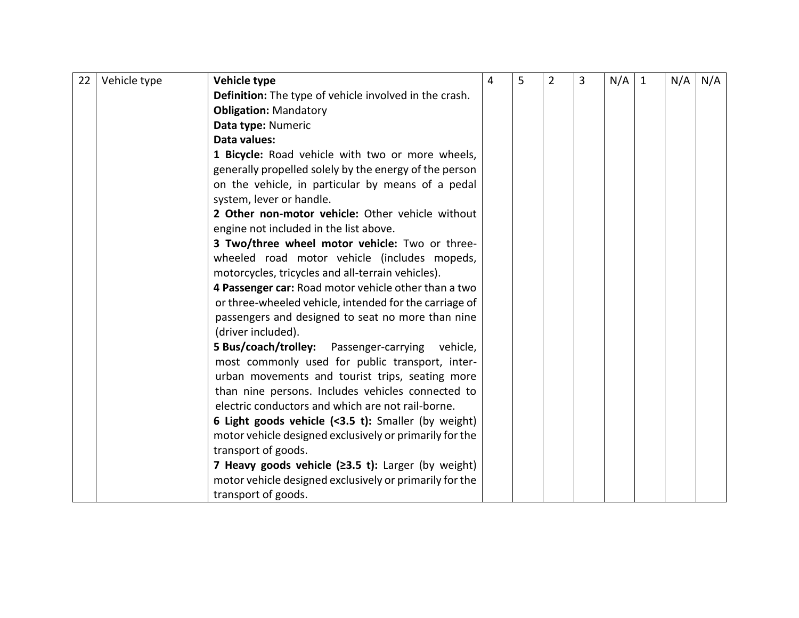| 22 | Vehicle type | Vehicle type                                                  | 4 | 5 | $\overline{2}$ | $\overline{3}$ | N/A | $\mathbf{1}$ | N/A | N/A |
|----|--------------|---------------------------------------------------------------|---|---|----------------|----------------|-----|--------------|-----|-----|
|    |              | <b>Definition:</b> The type of vehicle involved in the crash. |   |   |                |                |     |              |     |     |
|    |              | <b>Obligation: Mandatory</b>                                  |   |   |                |                |     |              |     |     |
|    |              | Data type: Numeric                                            |   |   |                |                |     |              |     |     |
|    |              | Data values:                                                  |   |   |                |                |     |              |     |     |
|    |              | 1 Bicycle: Road vehicle with two or more wheels,              |   |   |                |                |     |              |     |     |
|    |              | generally propelled solely by the energy of the person        |   |   |                |                |     |              |     |     |
|    |              | on the vehicle, in particular by means of a pedal             |   |   |                |                |     |              |     |     |
|    |              | system, lever or handle.                                      |   |   |                |                |     |              |     |     |
|    |              | 2 Other non-motor vehicle: Other vehicle without              |   |   |                |                |     |              |     |     |
|    |              | engine not included in the list above.                        |   |   |                |                |     |              |     |     |
|    |              | 3 Two/three wheel motor vehicle: Two or three-                |   |   |                |                |     |              |     |     |
|    |              | wheeled road motor vehicle (includes mopeds,                  |   |   |                |                |     |              |     |     |
|    |              | motorcycles, tricycles and all-terrain vehicles).             |   |   |                |                |     |              |     |     |
|    |              | 4 Passenger car: Road motor vehicle other than a two          |   |   |                |                |     |              |     |     |
|    |              | or three-wheeled vehicle, intended for the carriage of        |   |   |                |                |     |              |     |     |
|    |              | passengers and designed to seat no more than nine             |   |   |                |                |     |              |     |     |
|    |              | (driver included).                                            |   |   |                |                |     |              |     |     |
|    |              | 5 Bus/coach/trolley: Passenger-carrying vehicle,              |   |   |                |                |     |              |     |     |
|    |              | most commonly used for public transport, inter-               |   |   |                |                |     |              |     |     |
|    |              | urban movements and tourist trips, seating more               |   |   |                |                |     |              |     |     |
|    |              | than nine persons. Includes vehicles connected to             |   |   |                |                |     |              |     |     |
|    |              | electric conductors and which are not rail-borne.             |   |   |                |                |     |              |     |     |
|    |              | 6 Light goods vehicle (<3.5 t): Smaller (by weight)           |   |   |                |                |     |              |     |     |
|    |              | motor vehicle designed exclusively or primarily for the       |   |   |                |                |     |              |     |     |
|    |              | transport of goods.                                           |   |   |                |                |     |              |     |     |
|    |              | 7 Heavy goods vehicle $(23.5 t)$ : Larger (by weight)         |   |   |                |                |     |              |     |     |
|    |              | motor vehicle designed exclusively or primarily for the       |   |   |                |                |     |              |     |     |
|    |              | transport of goods.                                           |   |   |                |                |     |              |     |     |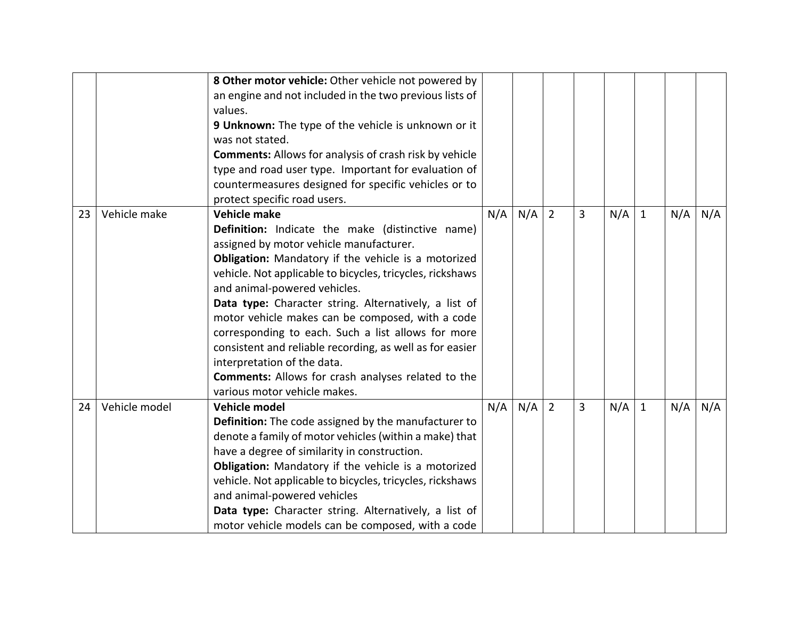|    |               | 8 Other motor vehicle: Other vehicle not powered by<br>an engine and not included in the two previous lists of<br>values.<br>9 Unknown: The type of the vehicle is unknown or it<br>was not stated.<br><b>Comments:</b> Allows for analysis of crash risk by vehicle<br>type and road user type. Important for evaluation of<br>countermeasures designed for specific vehicles or to<br>protect specific road users.                                                                                                                                                                                                              |     |     |                |   |     |              |     |     |
|----|---------------|-----------------------------------------------------------------------------------------------------------------------------------------------------------------------------------------------------------------------------------------------------------------------------------------------------------------------------------------------------------------------------------------------------------------------------------------------------------------------------------------------------------------------------------------------------------------------------------------------------------------------------------|-----|-----|----------------|---|-----|--------------|-----|-----|
| 23 | Vehicle make  | <b>Vehicle make</b><br>Definition: Indicate the make (distinctive name)<br>assigned by motor vehicle manufacturer.<br>Obligation: Mandatory if the vehicle is a motorized<br>vehicle. Not applicable to bicycles, tricycles, rickshaws<br>and animal-powered vehicles.<br>Data type: Character string. Alternatively, a list of<br>motor vehicle makes can be composed, with a code<br>corresponding to each. Such a list allows for more<br>consistent and reliable recording, as well as for easier<br>interpretation of the data.<br><b>Comments:</b> Allows for crash analyses related to the<br>various motor vehicle makes. | N/A | N/A | $\overline{2}$ | 3 | N/A | $\mathbf{1}$ | N/A | N/A |
| 24 | Vehicle model | Vehicle model<br>Definition: The code assigned by the manufacturer to<br>denote a family of motor vehicles (within a make) that<br>have a degree of similarity in construction.<br>Obligation: Mandatory if the vehicle is a motorized<br>vehicle. Not applicable to bicycles, tricycles, rickshaws<br>and animal-powered vehicles<br>Data type: Character string. Alternatively, a list of<br>motor vehicle models can be composed, with a code                                                                                                                                                                                  | N/A | N/A | $\overline{2}$ | 3 | N/A | $\mathbf{1}$ | N/A | N/A |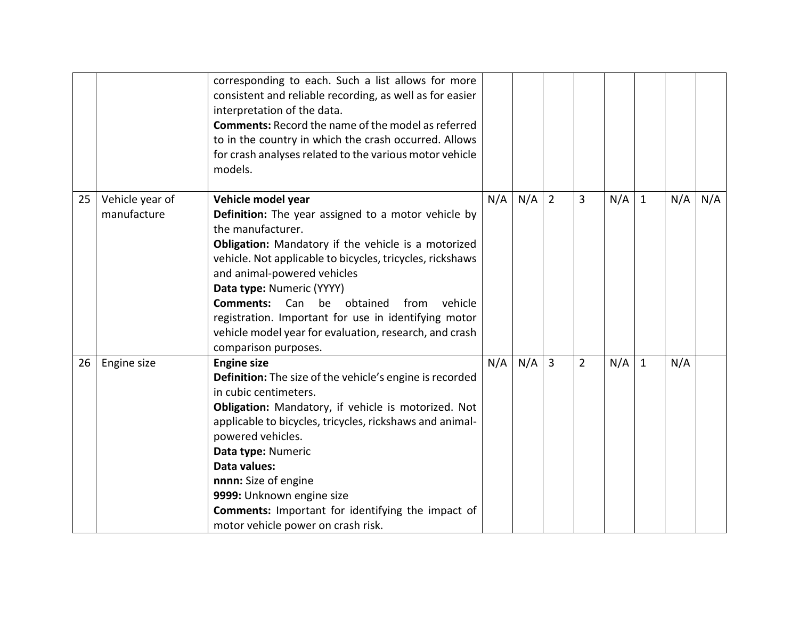|    |                                | corresponding to each. Such a list allows for more<br>consistent and reliable recording, as well as for easier<br>interpretation of the data.<br><b>Comments:</b> Record the name of the model as referred<br>to in the country in which the crash occurred. Allows<br>for crash analyses related to the various motor vehicle<br>models.                                                                                                                                          |     |     |                |                |     |              |     |     |
|----|--------------------------------|------------------------------------------------------------------------------------------------------------------------------------------------------------------------------------------------------------------------------------------------------------------------------------------------------------------------------------------------------------------------------------------------------------------------------------------------------------------------------------|-----|-----|----------------|----------------|-----|--------------|-----|-----|
| 25 | Vehicle year of<br>manufacture | Vehicle model year<br>Definition: The year assigned to a motor vehicle by<br>the manufacturer.<br>Obligation: Mandatory if the vehicle is a motorized<br>vehicle. Not applicable to bicycles, tricycles, rickshaws<br>and animal-powered vehicles<br>Data type: Numeric (YYYY)<br><b>Comments:</b> Can<br>be obtained<br>vehicle<br>from<br>registration. Important for use in identifying motor<br>vehicle model year for evaluation, research, and crash<br>comparison purposes. | N/A | N/A | $\overline{2}$ | 3              | N/A | $\mathbf{1}$ | N/A | N/A |
| 26 | Engine size                    | <b>Engine size</b><br><b>Definition:</b> The size of the vehicle's engine is recorded<br>in cubic centimeters.<br>Obligation: Mandatory, if vehicle is motorized. Not<br>applicable to bicycles, tricycles, rickshaws and animal-<br>powered vehicles.<br>Data type: Numeric<br>Data values:<br>nnnn: Size of engine<br>9999: Unknown engine size<br><b>Comments:</b> Important for identifying the impact of<br>motor vehicle power on crash risk.                                | N/A | N/A | $\overline{3}$ | $\overline{2}$ | N/A | $\mathbf{1}$ | N/A |     |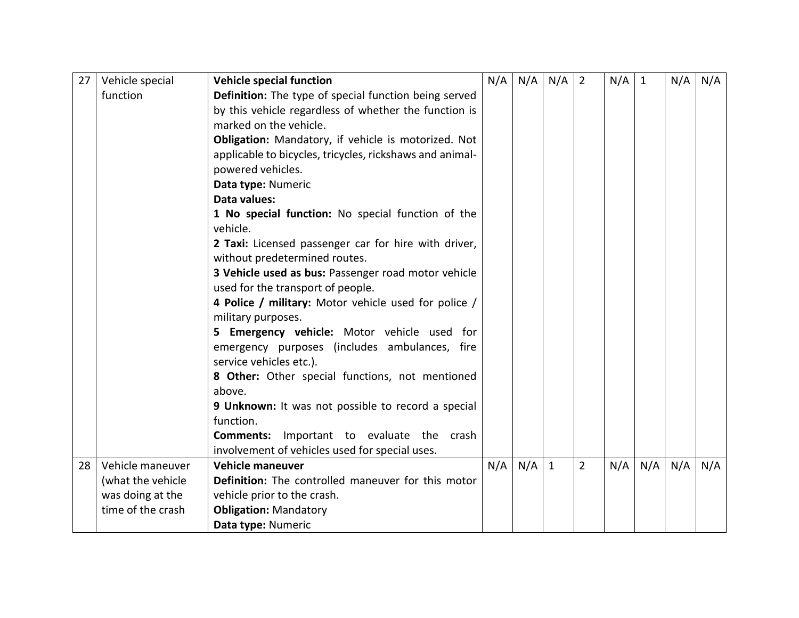| 27 | Vehicle special   | <b>Vehicle special function</b>                                                       | N/A | N/A | N/A          | $\overline{2}$ | N/A | $\mathbf{1}$ | N/A | N/A |
|----|-------------------|---------------------------------------------------------------------------------------|-----|-----|--------------|----------------|-----|--------------|-----|-----|
|    | function          | <b>Definition:</b> The type of special function being served                          |     |     |              |                |     |              |     |     |
|    |                   | by this vehicle regardless of whether the function is                                 |     |     |              |                |     |              |     |     |
|    |                   | marked on the vehicle.                                                                |     |     |              |                |     |              |     |     |
|    |                   | Obligation: Mandatory, if vehicle is motorized. Not                                   |     |     |              |                |     |              |     |     |
|    |                   | applicable to bicycles, tricycles, rickshaws and animal-                              |     |     |              |                |     |              |     |     |
|    |                   | powered vehicles.                                                                     |     |     |              |                |     |              |     |     |
|    |                   | Data type: Numeric                                                                    |     |     |              |                |     |              |     |     |
|    |                   | Data values:                                                                          |     |     |              |                |     |              |     |     |
|    |                   | 1 No special function: No special function of the                                     |     |     |              |                |     |              |     |     |
|    |                   | vehicle.                                                                              |     |     |              |                |     |              |     |     |
|    |                   | 2 Taxi: Licensed passenger car for hire with driver,<br>without predetermined routes. |     |     |              |                |     |              |     |     |
|    |                   | 3 Vehicle used as bus: Passenger road motor vehicle                                   |     |     |              |                |     |              |     |     |
|    |                   | used for the transport of people.                                                     |     |     |              |                |     |              |     |     |
|    |                   | 4 Police / military: Motor vehicle used for police /                                  |     |     |              |                |     |              |     |     |
|    |                   | military purposes.                                                                    |     |     |              |                |     |              |     |     |
|    |                   | 5 Emergency vehicle: Motor vehicle used for                                           |     |     |              |                |     |              |     |     |
|    |                   | emergency purposes (includes ambulances, fire                                         |     |     |              |                |     |              |     |     |
|    |                   | service vehicles etc.).                                                               |     |     |              |                |     |              |     |     |
|    |                   | 8 Other: Other special functions, not mentioned                                       |     |     |              |                |     |              |     |     |
|    |                   | above.                                                                                |     |     |              |                |     |              |     |     |
|    |                   | 9 Unknown: It was not possible to record a special                                    |     |     |              |                |     |              |     |     |
|    |                   | function.                                                                             |     |     |              |                |     |              |     |     |
|    |                   | Important to evaluate the crash<br><b>Comments:</b>                                   |     |     |              |                |     |              |     |     |
|    |                   | involvement of vehicles used for special uses.                                        |     |     |              |                |     |              |     |     |
| 28 | Vehicle maneuver  | Vehicle maneuver                                                                      | N/A | N/A | $\mathbf{1}$ | $\overline{2}$ | N/A | N/A          | N/A | N/A |
|    | (what the vehicle | Definition: The controlled maneuver for this motor                                    |     |     |              |                |     |              |     |     |
|    | was doing at the  | vehicle prior to the crash.                                                           |     |     |              |                |     |              |     |     |
|    | time of the crash | <b>Obligation: Mandatory</b>                                                          |     |     |              |                |     |              |     |     |
|    |                   | Data type: Numeric                                                                    |     |     |              |                |     |              |     |     |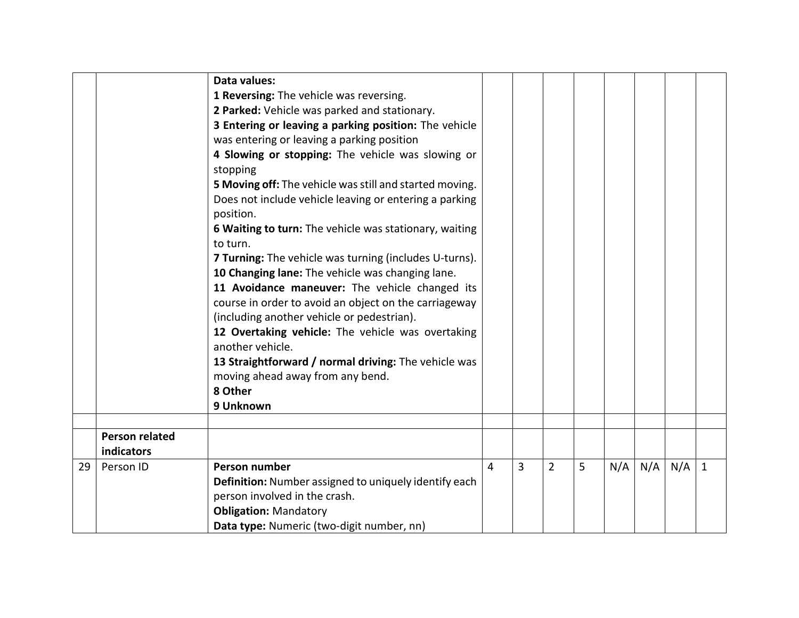|    |                       | Data values:<br>1 Reversing: The vehicle was reversing.<br>2 Parked: Vehicle was parked and stationary.<br>3 Entering or leaving a parking position: The vehicle<br>was entering or leaving a parking position<br>4 Slowing or stopping: The vehicle was slowing or<br>stopping<br>5 Moving off: The vehicle was still and started moving.<br>Does not include vehicle leaving or entering a parking<br>position.<br>6 Waiting to turn: The vehicle was stationary, waiting<br>to turn.<br>7 Turning: The vehicle was turning (includes U-turns).<br>10 Changing lane: The vehicle was changing lane.<br>11 Avoidance maneuver: The vehicle changed its<br>course in order to avoid an object on the carriageway<br>(including another vehicle or pedestrian).<br>12 Overtaking vehicle: The vehicle was overtaking<br>another vehicle.<br>13 Straightforward / normal driving: The vehicle was<br>moving ahead away from any bend.<br>8 Other<br>9 Unknown |   |   |                |   |     |     |     |              |
|----|-----------------------|-------------------------------------------------------------------------------------------------------------------------------------------------------------------------------------------------------------------------------------------------------------------------------------------------------------------------------------------------------------------------------------------------------------------------------------------------------------------------------------------------------------------------------------------------------------------------------------------------------------------------------------------------------------------------------------------------------------------------------------------------------------------------------------------------------------------------------------------------------------------------------------------------------------------------------------------------------------|---|---|----------------|---|-----|-----|-----|--------------|
|    | <b>Person related</b> |                                                                                                                                                                                                                                                                                                                                                                                                                                                                                                                                                                                                                                                                                                                                                                                                                                                                                                                                                             |   |   |                |   |     |     |     |              |
|    | indicators            |                                                                                                                                                                                                                                                                                                                                                                                                                                                                                                                                                                                                                                                                                                                                                                                                                                                                                                                                                             |   |   |                |   |     |     |     |              |
| 29 | Person ID             | <b>Person number</b>                                                                                                                                                                                                                                                                                                                                                                                                                                                                                                                                                                                                                                                                                                                                                                                                                                                                                                                                        | 4 | 3 | $\overline{2}$ | 5 | N/A | N/A | N/A | $\mathbf{1}$ |
|    |                       | Definition: Number assigned to uniquely identify each                                                                                                                                                                                                                                                                                                                                                                                                                                                                                                                                                                                                                                                                                                                                                                                                                                                                                                       |   |   |                |   |     |     |     |              |
|    |                       | person involved in the crash.                                                                                                                                                                                                                                                                                                                                                                                                                                                                                                                                                                                                                                                                                                                                                                                                                                                                                                                               |   |   |                |   |     |     |     |              |
|    |                       | <b>Obligation: Mandatory</b>                                                                                                                                                                                                                                                                                                                                                                                                                                                                                                                                                                                                                                                                                                                                                                                                                                                                                                                                |   |   |                |   |     |     |     |              |
|    |                       | Data type: Numeric (two-digit number, nn)                                                                                                                                                                                                                                                                                                                                                                                                                                                                                                                                                                                                                                                                                                                                                                                                                                                                                                                   |   |   |                |   |     |     |     |              |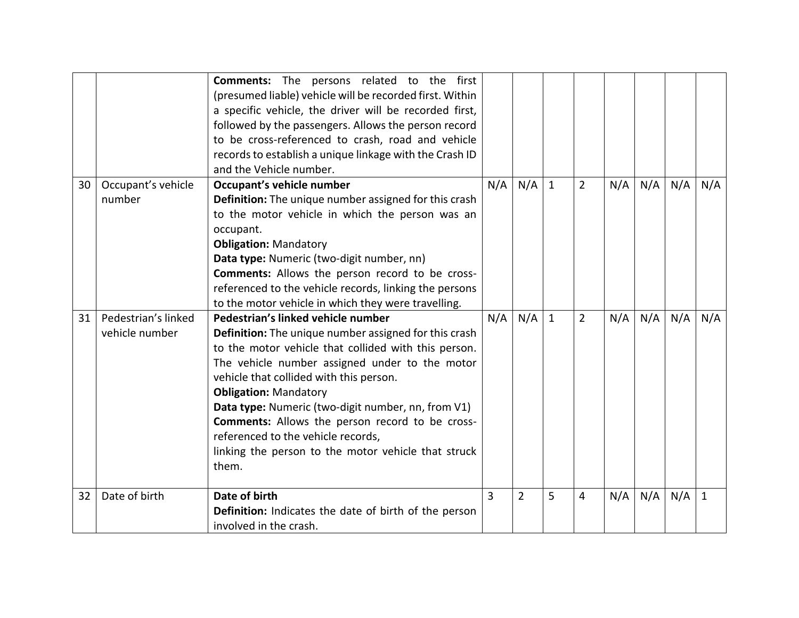|    |                                       | <b>Comments:</b> The persons related to the first<br>(presumed liable) vehicle will be recorded first. Within<br>a specific vehicle, the driver will be recorded first,<br>followed by the passengers. Allows the person record<br>to be cross-referenced to crash, road and vehicle<br>records to establish a unique linkage with the Crash ID<br>and the Vehicle number.                                                                                                                             |                |                |              |                |     |     |     |              |
|----|---------------------------------------|--------------------------------------------------------------------------------------------------------------------------------------------------------------------------------------------------------------------------------------------------------------------------------------------------------------------------------------------------------------------------------------------------------------------------------------------------------------------------------------------------------|----------------|----------------|--------------|----------------|-----|-----|-----|--------------|
| 30 | Occupant's vehicle<br>number          | Occupant's vehicle number<br>Definition: The unique number assigned for this crash<br>to the motor vehicle in which the person was an<br>occupant.<br><b>Obligation: Mandatory</b><br>Data type: Numeric (two-digit number, nn)<br><b>Comments:</b> Allows the person record to be cross-<br>referenced to the vehicle records, linking the persons<br>to the motor vehicle in which they were travelling.                                                                                             | N/A            | N/A            | $\mathbf{1}$ | $\overline{2}$ | N/A | N/A | N/A | N/A          |
| 31 | Pedestrian's linked<br>vehicle number | Pedestrian's linked vehicle number<br>Definition: The unique number assigned for this crash<br>to the motor vehicle that collided with this person.<br>The vehicle number assigned under to the motor<br>vehicle that collided with this person.<br><b>Obligation: Mandatory</b><br>Data type: Numeric (two-digit number, nn, from V1)<br><b>Comments:</b> Allows the person record to be cross-<br>referenced to the vehicle records,<br>linking the person to the motor vehicle that struck<br>them. | N/A            | N/A            | $\mathbf{1}$ | $\overline{2}$ | N/A | N/A | N/A | N/A          |
| 32 | Date of birth                         | Date of birth<br>Definition: Indicates the date of birth of the person<br>involved in the crash.                                                                                                                                                                                                                                                                                                                                                                                                       | $\overline{3}$ | $\overline{2}$ | 5            | 4              | N/A | N/A | N/A | $\mathbf{1}$ |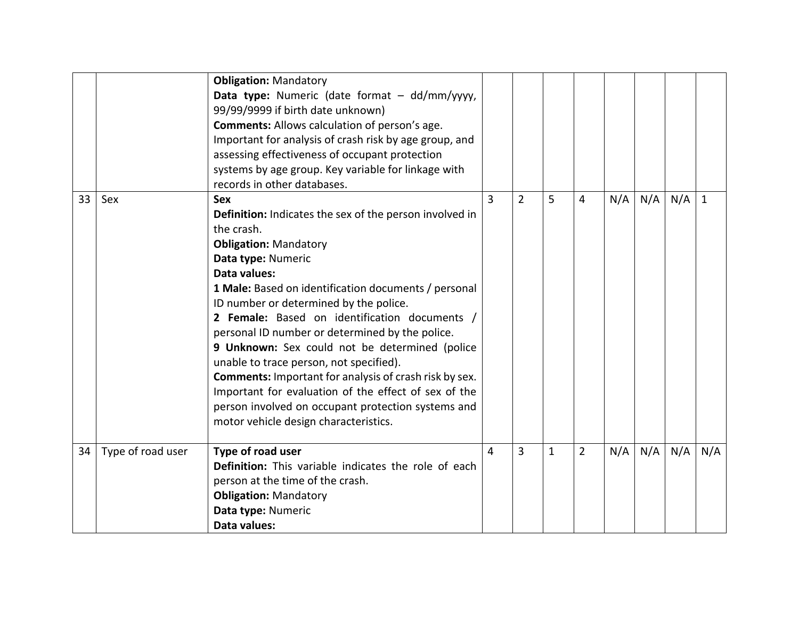|    |                   | <b>Obligation: Mandatory</b><br>Data type: Numeric (date format $-$ dd/mm/yyyy,<br>99/99/9999 if birth date unknown)<br><b>Comments:</b> Allows calculation of person's age.<br>Important for analysis of crash risk by age group, and<br>assessing effectiveness of occupant protection<br>systems by age group. Key variable for linkage with<br>records in other databases.                                                                                                                                                                                                                                                                                                       |                |             |              |                |     |     |     |     |
|----|-------------------|--------------------------------------------------------------------------------------------------------------------------------------------------------------------------------------------------------------------------------------------------------------------------------------------------------------------------------------------------------------------------------------------------------------------------------------------------------------------------------------------------------------------------------------------------------------------------------------------------------------------------------------------------------------------------------------|----------------|-------------|--------------|----------------|-----|-----|-----|-----|
| 33 | Sex               | <b>Sex</b><br>Definition: Indicates the sex of the person involved in<br>the crash.<br><b>Obligation: Mandatory</b><br>Data type: Numeric<br>Data values:<br>1 Male: Based on identification documents / personal<br>ID number or determined by the police.<br>2 Female: Based on identification documents /<br>personal ID number or determined by the police.<br>9 Unknown: Sex could not be determined (police<br>unable to trace person, not specified).<br><b>Comments:</b> Important for analysis of crash risk by sex.<br>Important for evaluation of the effect of sex of the<br>person involved on occupant protection systems and<br>motor vehicle design characteristics. | $\overline{3}$ | $2^{\circ}$ | 5            | 4              | N/A | N/A | N/A | 1   |
| 34 | Type of road user | Type of road user<br><b>Definition:</b> This variable indicates the role of each<br>person at the time of the crash.<br><b>Obligation: Mandatory</b><br>Data type: Numeric<br>Data values:                                                                                                                                                                                                                                                                                                                                                                                                                                                                                           | 4              | 3           | $\mathbf{1}$ | $\overline{2}$ | N/A | N/A | N/A | N/A |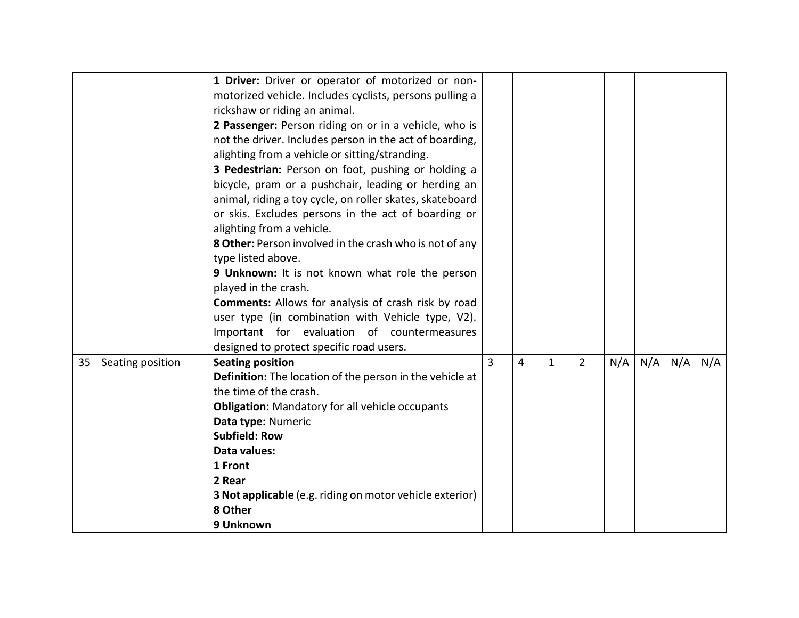|    |                  | 1 Driver: Driver or operator of motorized or non-<br>motorized vehicle. Includes cyclists, persons pulling a<br>rickshaw or riding an animal.<br>2 Passenger: Person riding on or in a vehicle, who is<br>not the driver. Includes person in the act of boarding,<br>alighting from a vehicle or sitting/stranding.<br>3 Pedestrian: Person on foot, pushing or holding a<br>bicycle, pram or a pushchair, leading or herding an<br>animal, riding a toy cycle, on roller skates, skateboard<br>or skis. Excludes persons in the act of boarding or<br>alighting from a vehicle.<br>8 Other: Person involved in the crash who is not of any<br>type listed above.<br>9 Unknown: It is not known what role the person<br>played in the crash.<br><b>Comments:</b> Allows for analysis of crash risk by road<br>user type (in combination with Vehicle type, V2).<br>Important for evaluation of countermeasures |                |                |              |                |     |     |     |     |
|----|------------------|----------------------------------------------------------------------------------------------------------------------------------------------------------------------------------------------------------------------------------------------------------------------------------------------------------------------------------------------------------------------------------------------------------------------------------------------------------------------------------------------------------------------------------------------------------------------------------------------------------------------------------------------------------------------------------------------------------------------------------------------------------------------------------------------------------------------------------------------------------------------------------------------------------------|----------------|----------------|--------------|----------------|-----|-----|-----|-----|
|    |                  | designed to protect specific road users.                                                                                                                                                                                                                                                                                                                                                                                                                                                                                                                                                                                                                                                                                                                                                                                                                                                                       |                |                |              |                |     |     |     |     |
| 35 | Seating position | <b>Seating position</b><br>Definition: The location of the person in the vehicle at<br>the time of the crash.<br><b>Obligation:</b> Mandatory for all vehicle occupants<br>Data type: Numeric<br><b>Subfield: Row</b><br>Data values:<br>1 Front<br>2 Rear<br>3 Not applicable (e.g. riding on motor vehicle exterior)<br>8 Other<br>9 Unknown                                                                                                                                                                                                                                                                                                                                                                                                                                                                                                                                                                 | $\overline{3}$ | $\overline{4}$ | $\mathbf{1}$ | $\overline{2}$ | N/A | N/A | N/A | N/A |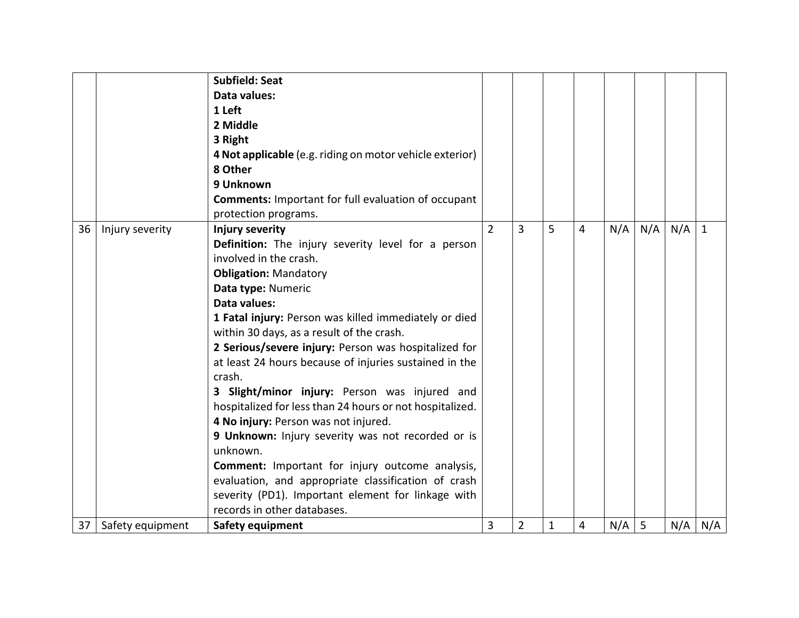|    |                  | <b>Subfield: Seat</b>                                            |                |                |   |   |     |     |     |              |
|----|------------------|------------------------------------------------------------------|----------------|----------------|---|---|-----|-----|-----|--------------|
|    |                  | Data values:                                                     |                |                |   |   |     |     |     |              |
|    |                  | 1 Left                                                           |                |                |   |   |     |     |     |              |
|    |                  | 2 Middle                                                         |                |                |   |   |     |     |     |              |
|    |                  | 3 Right                                                          |                |                |   |   |     |     |     |              |
|    |                  | 4 Not applicable (e.g. riding on motor vehicle exterior)         |                |                |   |   |     |     |     |              |
|    |                  | 8 Other                                                          |                |                |   |   |     |     |     |              |
|    |                  | 9 Unknown                                                        |                |                |   |   |     |     |     |              |
|    |                  | <b>Comments: Important for full evaluation of occupant</b>       |                |                |   |   |     |     |     |              |
|    |                  | protection programs.                                             |                |                |   |   |     |     |     |              |
| 36 | Injury severity  | Injury severity                                                  | $\overline{2}$ | 3              | 5 | 4 | N/A | N/A | N/A | $\mathbf{1}$ |
|    |                  | <b>Definition:</b> The injury severity level for a person        |                |                |   |   |     |     |     |              |
|    |                  | involved in the crash.                                           |                |                |   |   |     |     |     |              |
|    |                  | <b>Obligation: Mandatory</b>                                     |                |                |   |   |     |     |     |              |
|    |                  | Data type: Numeric                                               |                |                |   |   |     |     |     |              |
|    |                  | Data values:                                                     |                |                |   |   |     |     |     |              |
|    |                  | 1 Fatal injury: Person was killed immediately or died            |                |                |   |   |     |     |     |              |
|    |                  | within 30 days, as a result of the crash.                        |                |                |   |   |     |     |     |              |
|    |                  | 2 Serious/severe injury: Person was hospitalized for             |                |                |   |   |     |     |     |              |
|    |                  | at least 24 hours because of injuries sustained in the<br>crash. |                |                |   |   |     |     |     |              |
|    |                  | 3 Slight/minor injury: Person was injured and                    |                |                |   |   |     |     |     |              |
|    |                  | hospitalized for less than 24 hours or not hospitalized.         |                |                |   |   |     |     |     |              |
|    |                  | 4 No injury: Person was not injured.                             |                |                |   |   |     |     |     |              |
|    |                  | 9 Unknown: Injury severity was not recorded or is                |                |                |   |   |     |     |     |              |
|    |                  | unknown.                                                         |                |                |   |   |     |     |     |              |
|    |                  | Comment: Important for injury outcome analysis,                  |                |                |   |   |     |     |     |              |
|    |                  | evaluation, and appropriate classification of crash              |                |                |   |   |     |     |     |              |
|    |                  | severity (PD1). Important element for linkage with               |                |                |   |   |     |     |     |              |
|    |                  | records in other databases.                                      |                |                |   |   |     |     |     |              |
| 37 | Safety equipment | <b>Safety equipment</b>                                          | 3              | $\overline{2}$ | 1 | 4 | N/A | 5   | N/A | N/A          |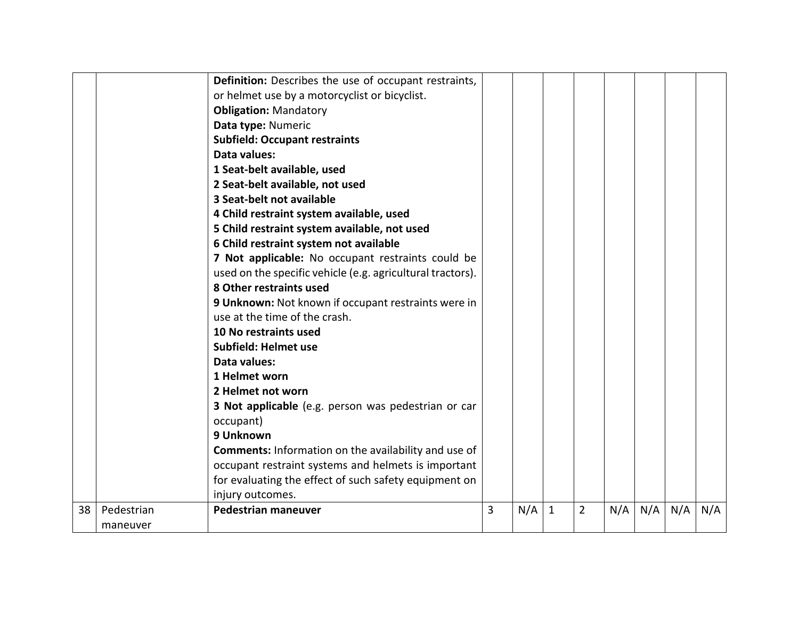|    |            | Definition: Describes the use of occupant restraints,<br>or helmet use by a motorcyclist or bicyclist.<br><b>Obligation: Mandatory</b> |   |     |              |                |     |     |     |     |
|----|------------|----------------------------------------------------------------------------------------------------------------------------------------|---|-----|--------------|----------------|-----|-----|-----|-----|
|    |            | Data type: Numeric                                                                                                                     |   |     |              |                |     |     |     |     |
|    |            | <b>Subfield: Occupant restraints</b>                                                                                                   |   |     |              |                |     |     |     |     |
|    |            | Data values:                                                                                                                           |   |     |              |                |     |     |     |     |
|    |            | 1 Seat-belt available, used                                                                                                            |   |     |              |                |     |     |     |     |
|    |            | 2 Seat-belt available, not used                                                                                                        |   |     |              |                |     |     |     |     |
|    |            | 3 Seat-belt not available                                                                                                              |   |     |              |                |     |     |     |     |
|    |            | 4 Child restraint system available, used                                                                                               |   |     |              |                |     |     |     |     |
|    |            | 5 Child restraint system available, not used                                                                                           |   |     |              |                |     |     |     |     |
|    |            | 6 Child restraint system not available                                                                                                 |   |     |              |                |     |     |     |     |
|    |            | 7 Not applicable: No occupant restraints could be                                                                                      |   |     |              |                |     |     |     |     |
|    |            | used on the specific vehicle (e.g. agricultural tractors).                                                                             |   |     |              |                |     |     |     |     |
|    |            | 8 Other restraints used                                                                                                                |   |     |              |                |     |     |     |     |
|    |            | 9 Unknown: Not known if occupant restraints were in                                                                                    |   |     |              |                |     |     |     |     |
|    |            | use at the time of the crash.                                                                                                          |   |     |              |                |     |     |     |     |
|    |            | 10 No restraints used                                                                                                                  |   |     |              |                |     |     |     |     |
|    |            | Subfield: Helmet use                                                                                                                   |   |     |              |                |     |     |     |     |
|    |            | Data values:                                                                                                                           |   |     |              |                |     |     |     |     |
|    |            | 1 Helmet worn                                                                                                                          |   |     |              |                |     |     |     |     |
|    |            | 2 Helmet not worn                                                                                                                      |   |     |              |                |     |     |     |     |
|    |            | 3 Not applicable (e.g. person was pedestrian or car                                                                                    |   |     |              |                |     |     |     |     |
|    |            | occupant)                                                                                                                              |   |     |              |                |     |     |     |     |
|    |            | 9 Unknown                                                                                                                              |   |     |              |                |     |     |     |     |
|    |            | <b>Comments:</b> Information on the availability and use of                                                                            |   |     |              |                |     |     |     |     |
|    |            | occupant restraint systems and helmets is important                                                                                    |   |     |              |                |     |     |     |     |
|    |            | for evaluating the effect of such safety equipment on                                                                                  |   |     |              |                |     |     |     |     |
|    |            | injury outcomes.                                                                                                                       |   |     |              |                |     |     |     |     |
| 38 | Pedestrian | <b>Pedestrian maneuver</b>                                                                                                             | 3 | N/A | $\mathbf{1}$ | $\overline{2}$ | N/A | N/A | N/A | N/A |
|    | maneuver   |                                                                                                                                        |   |     |              |                |     |     |     |     |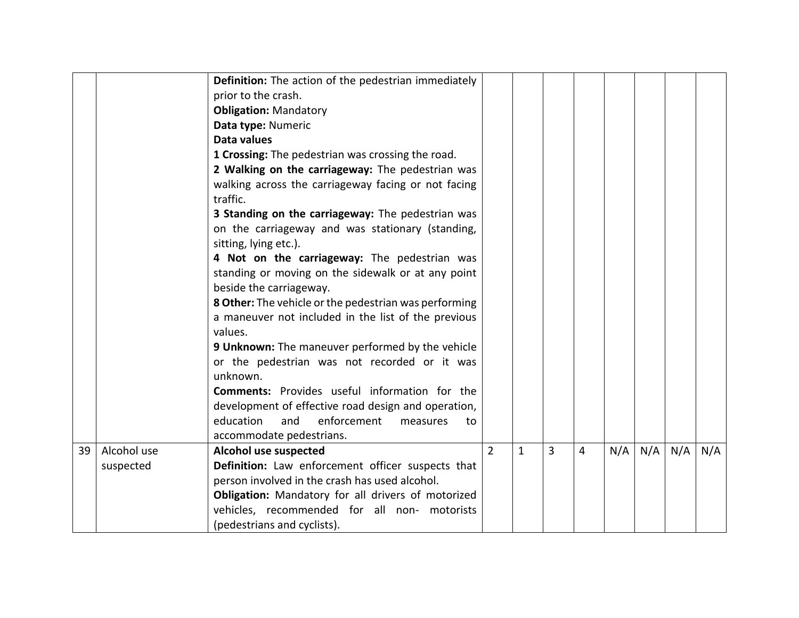|    |             | <b>Definition:</b> The action of the pedestrian immediately |                |              |   |                |     |     |     |     |
|----|-------------|-------------------------------------------------------------|----------------|--------------|---|----------------|-----|-----|-----|-----|
|    |             | prior to the crash.                                         |                |              |   |                |     |     |     |     |
|    |             | <b>Obligation: Mandatory</b>                                |                |              |   |                |     |     |     |     |
|    |             | Data type: Numeric                                          |                |              |   |                |     |     |     |     |
|    |             | Data values                                                 |                |              |   |                |     |     |     |     |
|    |             | 1 Crossing: The pedestrian was crossing the road.           |                |              |   |                |     |     |     |     |
|    |             | 2 Walking on the carriageway: The pedestrian was            |                |              |   |                |     |     |     |     |
|    |             | walking across the carriageway facing or not facing         |                |              |   |                |     |     |     |     |
|    |             | traffic.                                                    |                |              |   |                |     |     |     |     |
|    |             | 3 Standing on the carriageway: The pedestrian was           |                |              |   |                |     |     |     |     |
|    |             | on the carriageway and was stationary (standing,            |                |              |   |                |     |     |     |     |
|    |             | sitting, lying etc.).                                       |                |              |   |                |     |     |     |     |
|    |             | 4 Not on the carriageway: The pedestrian was                |                |              |   |                |     |     |     |     |
|    |             | standing or moving on the sidewalk or at any point          |                |              |   |                |     |     |     |     |
|    |             | beside the carriageway.                                     |                |              |   |                |     |     |     |     |
|    |             | 8 Other: The vehicle or the pedestrian was performing       |                |              |   |                |     |     |     |     |
|    |             | a maneuver not included in the list of the previous         |                |              |   |                |     |     |     |     |
|    |             | values.                                                     |                |              |   |                |     |     |     |     |
|    |             | 9 Unknown: The maneuver performed by the vehicle            |                |              |   |                |     |     |     |     |
|    |             | or the pedestrian was not recorded or it was                |                |              |   |                |     |     |     |     |
|    |             | unknown.                                                    |                |              |   |                |     |     |     |     |
|    |             | <b>Comments:</b> Provides useful information for the        |                |              |   |                |     |     |     |     |
|    |             | development of effective road design and operation,         |                |              |   |                |     |     |     |     |
|    |             | education<br>and<br>enforcement<br>measures<br>to           |                |              |   |                |     |     |     |     |
|    |             | accommodate pedestrians.                                    |                |              |   |                |     |     |     |     |
| 39 | Alcohol use | Alcohol use suspected                                       | $\overline{2}$ | $\mathbf{1}$ | 3 | $\overline{4}$ | N/A | N/A | N/A | N/A |
|    | suspected   | Definition: Law enforcement officer suspects that           |                |              |   |                |     |     |     |     |
|    |             | person involved in the crash has used alcohol.              |                |              |   |                |     |     |     |     |
|    |             | Obligation: Mandatory for all drivers of motorized          |                |              |   |                |     |     |     |     |
|    |             | vehicles, recommended for all non- motorists                |                |              |   |                |     |     |     |     |
|    |             | (pedestrians and cyclists).                                 |                |              |   |                |     |     |     |     |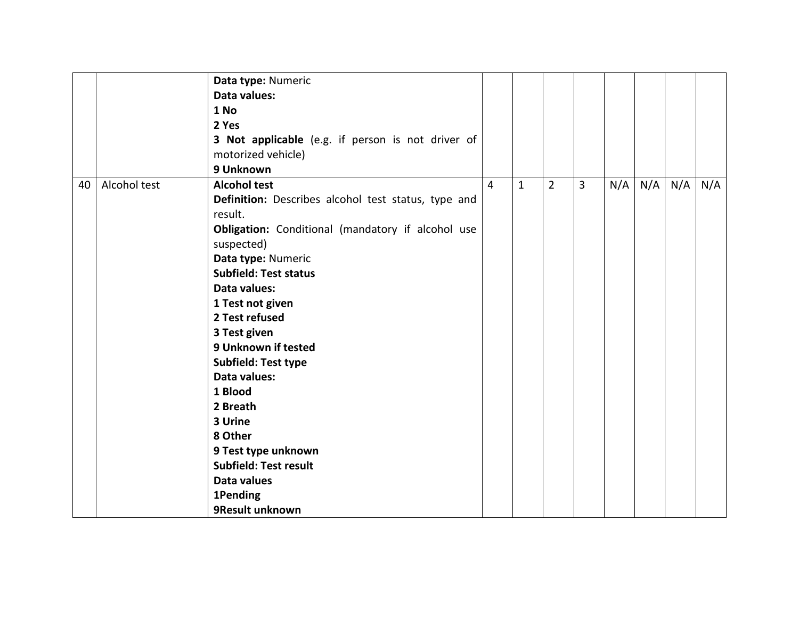|    |              | Data type: Numeric                                  |                |              |                |   |     |     |     |     |
|----|--------------|-----------------------------------------------------|----------------|--------------|----------------|---|-----|-----|-----|-----|
|    |              | Data values:                                        |                |              |                |   |     |     |     |     |
|    |              | 1 No                                                |                |              |                |   |     |     |     |     |
|    |              | 2 Yes                                               |                |              |                |   |     |     |     |     |
|    |              | 3 Not applicable (e.g. if person is not driver of   |                |              |                |   |     |     |     |     |
|    |              | motorized vehicle)                                  |                |              |                |   |     |     |     |     |
|    |              | 9 Unknown                                           |                |              |                |   |     |     |     |     |
| 40 | Alcohol test | <b>Alcohol test</b>                                 | $\overline{4}$ | $\mathbf{1}$ | $\overline{2}$ | 3 | N/A | N/A | N/A | N/A |
|    |              | Definition: Describes alcohol test status, type and |                |              |                |   |     |     |     |     |
|    |              | result.                                             |                |              |                |   |     |     |     |     |
|    |              | Obligation: Conditional (mandatory if alcohol use   |                |              |                |   |     |     |     |     |
|    |              | suspected)                                          |                |              |                |   |     |     |     |     |
|    |              | Data type: Numeric                                  |                |              |                |   |     |     |     |     |
|    |              | <b>Subfield: Test status</b>                        |                |              |                |   |     |     |     |     |
|    |              | Data values:                                        |                |              |                |   |     |     |     |     |
|    |              | 1 Test not given                                    |                |              |                |   |     |     |     |     |
|    |              | 2 Test refused                                      |                |              |                |   |     |     |     |     |
|    |              | 3 Test given                                        |                |              |                |   |     |     |     |     |
|    |              | 9 Unknown if tested                                 |                |              |                |   |     |     |     |     |
|    |              | <b>Subfield: Test type</b>                          |                |              |                |   |     |     |     |     |
|    |              | Data values:                                        |                |              |                |   |     |     |     |     |
|    |              | 1 Blood                                             |                |              |                |   |     |     |     |     |
|    |              | 2 Breath                                            |                |              |                |   |     |     |     |     |
|    |              | 3 Urine                                             |                |              |                |   |     |     |     |     |
|    |              | 8 Other                                             |                |              |                |   |     |     |     |     |
|    |              | 9 Test type unknown                                 |                |              |                |   |     |     |     |     |
|    |              | Subfield: Test result                               |                |              |                |   |     |     |     |     |
|    |              | Data values                                         |                |              |                |   |     |     |     |     |
|    |              | 1Pending                                            |                |              |                |   |     |     |     |     |
|    |              | 9Result unknown                                     |                |              |                |   |     |     |     |     |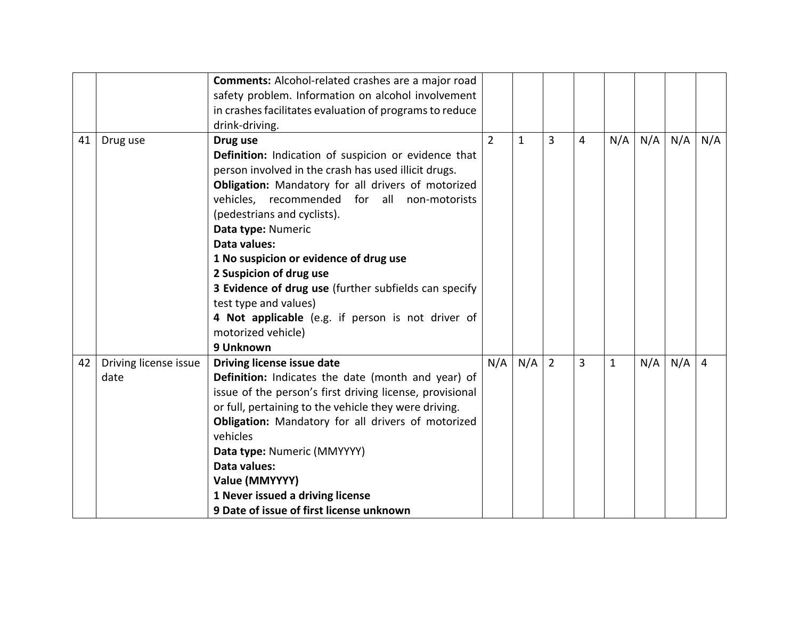|    |                               | Comments: Alcohol-related crashes are a major road<br>safety problem. Information on alcohol involvement<br>in crashes facilitates evaluation of programs to reduce<br>drink-driving.                                                                                                                                                                                                                                                                                                                                                             |                |              |                |                |              |     |     |     |
|----|-------------------------------|---------------------------------------------------------------------------------------------------------------------------------------------------------------------------------------------------------------------------------------------------------------------------------------------------------------------------------------------------------------------------------------------------------------------------------------------------------------------------------------------------------------------------------------------------|----------------|--------------|----------------|----------------|--------------|-----|-----|-----|
| 41 | Drug use                      | Drug use<br>Definition: Indication of suspicion or evidence that<br>person involved in the crash has used illicit drugs.<br>Obligation: Mandatory for all drivers of motorized<br>vehicles, recommended for all non-motorists<br>(pedestrians and cyclists).<br>Data type: Numeric<br>Data values:<br>1 No suspicion or evidence of drug use<br>2 Suspicion of drug use<br>3 Evidence of drug use (further subfields can specify<br>test type and values)<br>4 Not applicable (e.g. if person is not driver of<br>motorized vehicle)<br>9 Unknown | $\overline{2}$ | $\mathbf{1}$ | $\overline{3}$ | $\overline{4}$ | N/A          | N/A | N/A | N/A |
| 42 | Driving license issue<br>date | Driving license issue date<br>Definition: Indicates the date (month and year) of<br>issue of the person's first driving license, provisional<br>or full, pertaining to the vehicle they were driving.<br>Obligation: Mandatory for all drivers of motorized<br>vehicles<br>Data type: Numeric (MMYYYY)<br>Data values:<br>Value (MMYYYY)<br>1 Never issued a driving license<br>9 Date of issue of first license unknown                                                                                                                          | N/A            | N/A          | $\overline{2}$ | $\overline{3}$ | $\mathbf{1}$ | N/A | N/A | 4   |